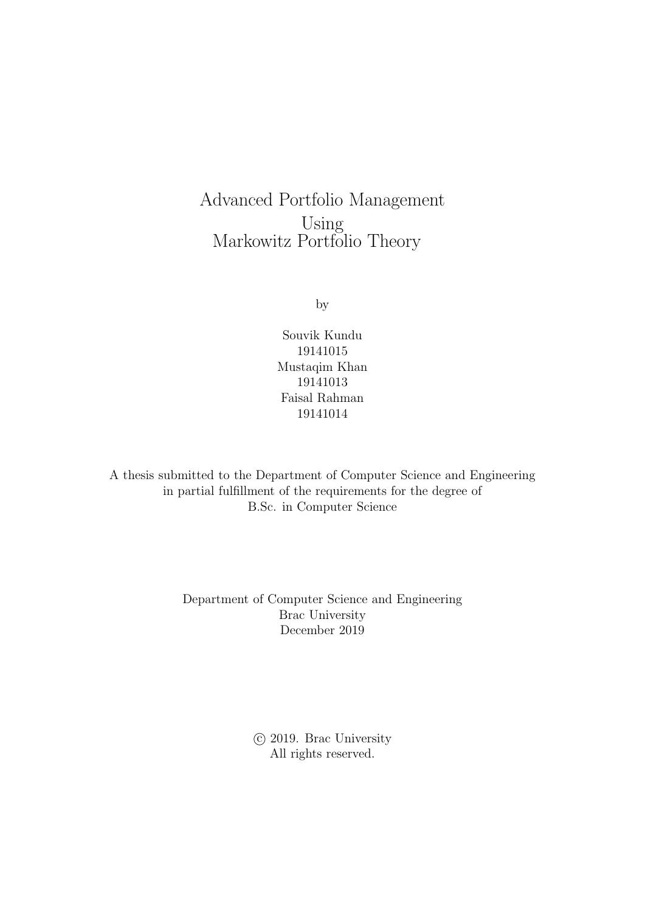Advanced Portfolio Management Using Markowitz Portfolio Theory

by

Souvik Kundu 19141015 Mustaqim Khan 19141013 Faisal Rahman 19141014

A thesis submitted to the Department of Computer Science and Engineering in partial fulfillment of the requirements for the degree of B.Sc. in Computer Science

> Department of Computer Science and Engineering Brac University December 2019

> > c 2019. Brac University All rights reserved.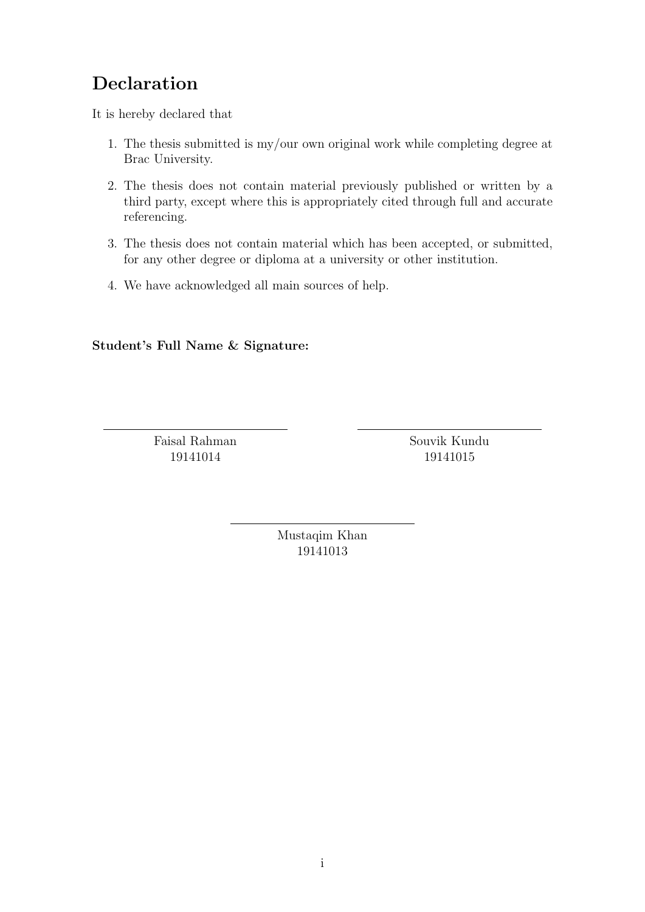### <span id="page-1-0"></span>Declaration

It is hereby declared that

- 1. The thesis submitted is my/our own original work while completing degree at Brac University.
- 2. The thesis does not contain material previously published or written by a third party, except where this is appropriately cited through full and accurate referencing.
- 3. The thesis does not contain material which has been accepted, or submitted, for any other degree or diploma at a university or other institution.
- 4. We have acknowledged all main sources of help.

Student's Full Name & Signature:

Faisal Rahman 19141014

Souvik Kundu 19141015

Mustaqim Khan 19141013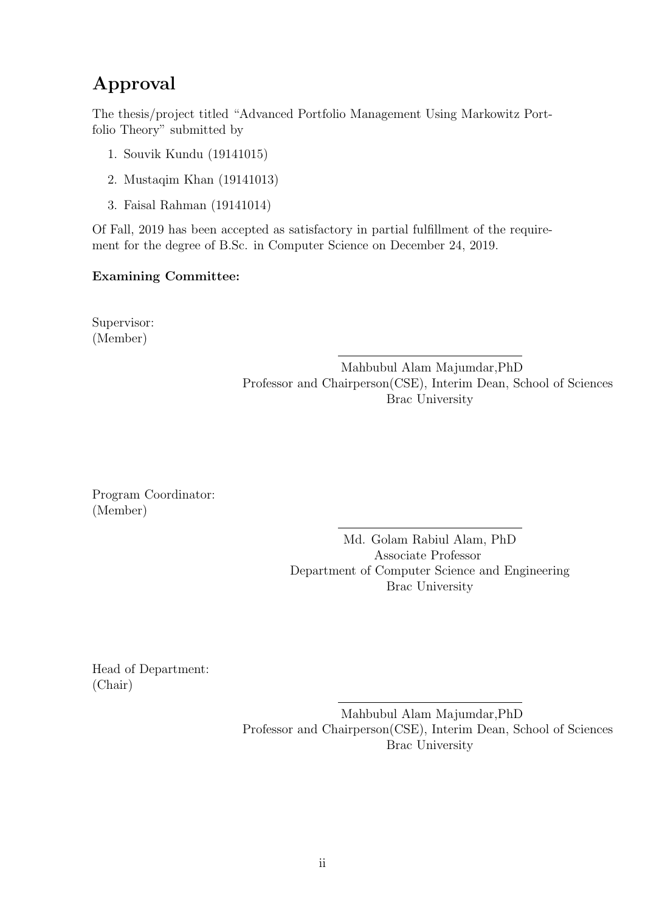### <span id="page-2-0"></span>Approval

The thesis/project titled "Advanced Portfolio Management Using Markowitz Portfolio Theory" submitted by

- 1. Souvik Kundu (19141015)
- 2. Mustaqim Khan (19141013)
- 3. Faisal Rahman (19141014)

Of Fall, 2019 has been accepted as satisfactory in partial fulfillment of the requirement for the degree of B.Sc. in Computer Science on December 24, 2019.

#### Examining Committee:

Supervisor: (Member)

> Mahbubul Alam Majumdar,PhD Professor and Chairperson(CSE), Interim Dean, School of Sciences Brac University

Program Coordinator: (Member)

> Md. Golam Rabiul Alam, PhD Associate Professor Department of Computer Science and Engineering Brac University

Head of Department: (Chair)

> Mahbubul Alam Majumdar,PhD Professor and Chairperson(CSE), Interim Dean, School of Sciences Brac University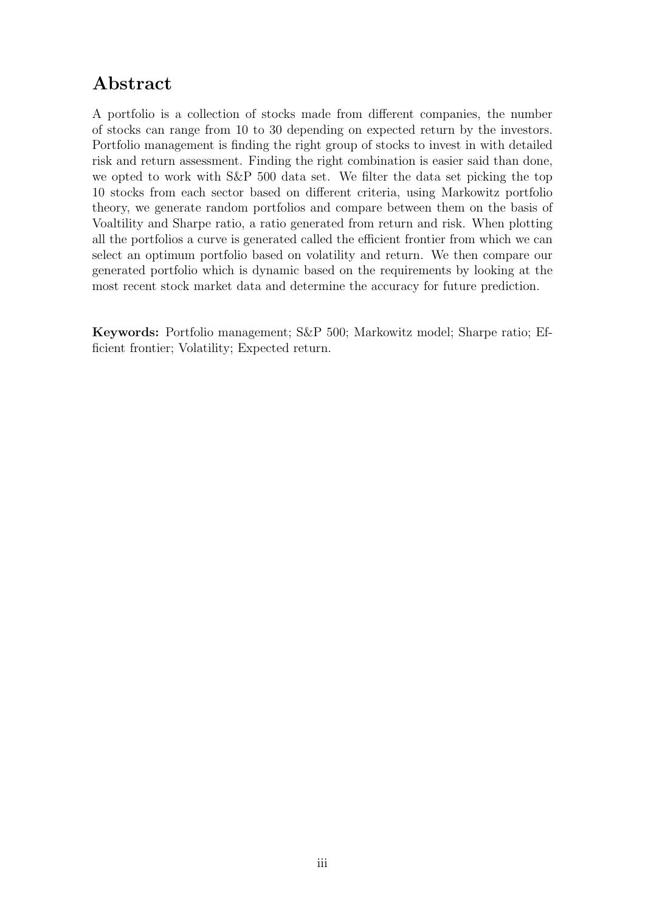### <span id="page-3-0"></span>Abstract

A portfolio is a collection of stocks made from different companies, the number of stocks can range from 10 to 30 depending on expected return by the investors. Portfolio management is finding the right group of stocks to invest in with detailed risk and return assessment. Finding the right combination is easier said than done, we opted to work with S&P 500 data set. We filter the data set picking the top 10 stocks from each sector based on different criteria, using Markowitz portfolio theory, we generate random portfolios and compare between them on the basis of Voaltility and Sharpe ratio, a ratio generated from return and risk. When plotting all the portfolios a curve is generated called the efficient frontier from which we can select an optimum portfolio based on volatility and return. We then compare our generated portfolio which is dynamic based on the requirements by looking at the most recent stock market data and determine the accuracy for future prediction.

Keywords: Portfolio management; S&P 500; Markowitz model; Sharpe ratio; Efficient frontier; Volatility; Expected return.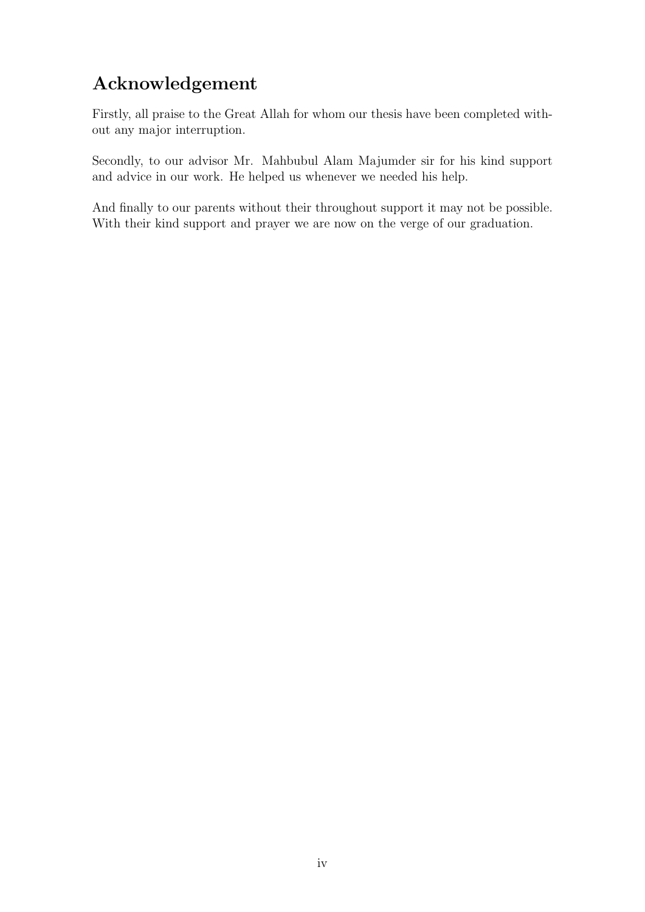### <span id="page-4-0"></span>Acknowledgement

Firstly, all praise to the Great Allah for whom our thesis have been completed without any major interruption.

Secondly, to our advisor Mr. Mahbubul Alam Majumder sir for his kind support and advice in our work. He helped us whenever we needed his help.

And finally to our parents without their throughout support it may not be possible. With their kind support and prayer we are now on the verge of our graduation.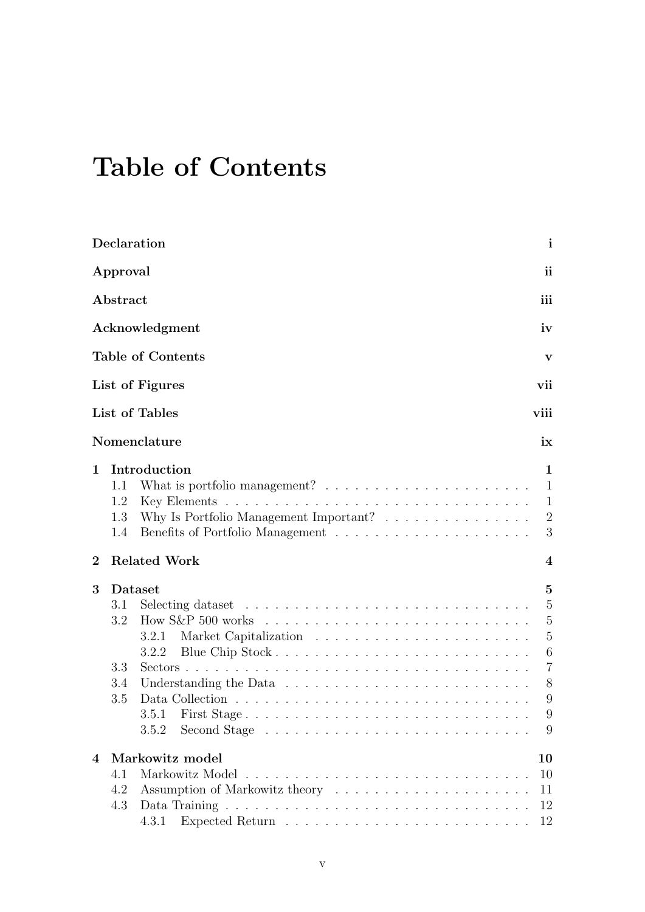# <span id="page-5-0"></span>Table of Contents

|                  | Declaration                                                                                                                                                                                                 |  | $\mathbf{i}$                                                                                                    |
|------------------|-------------------------------------------------------------------------------------------------------------------------------------------------------------------------------------------------------------|--|-----------------------------------------------------------------------------------------------------------------|
|                  | Approval                                                                                                                                                                                                    |  | ii                                                                                                              |
|                  | Abstract                                                                                                                                                                                                    |  | iii                                                                                                             |
|                  | Acknowledgment                                                                                                                                                                                              |  | iv                                                                                                              |
|                  | <b>Table of Contents</b>                                                                                                                                                                                    |  | $\mathbf{V}$                                                                                                    |
|                  | List of Figures                                                                                                                                                                                             |  | vii                                                                                                             |
|                  | List of Tables                                                                                                                                                                                              |  | viii                                                                                                            |
|                  | Nomenclature                                                                                                                                                                                                |  | ix                                                                                                              |
| $\mathbf{1}$     | Introduction<br>What is portfolio management? $\ldots \ldots \ldots \ldots \ldots \ldots \ldots$<br>1.1<br>1.2<br>Why Is Portfolio Management Important? $\ldots \ldots \ldots \ldots \ldots$<br>1.3<br>1.4 |  | 1<br>$\mathbf{1}$<br>$\mathbf{1}$<br>2<br>3                                                                     |
| $\boldsymbol{2}$ | <b>Related Work</b>                                                                                                                                                                                         |  | $\boldsymbol{4}$                                                                                                |
| 3                | Dataset<br>3.1<br>3.2<br>3.2.1<br>3.2.2<br>3.3<br>3.4<br>3.5<br>3.5.1<br>First Stage<br>3.5.2                                                                                                               |  | $\overline{5}$<br>$\overline{5}$<br>$\overline{5}$<br>$\overline{5}$<br>6<br>$\overline{7}$<br>8<br>9<br>9<br>9 |
| $\overline{4}$   | Markowitz model<br>Markowitz Model<br>4.1<br>4.2<br>4.3                                                                                                                                                     |  | 10<br>10<br>11<br>12<br>12                                                                                      |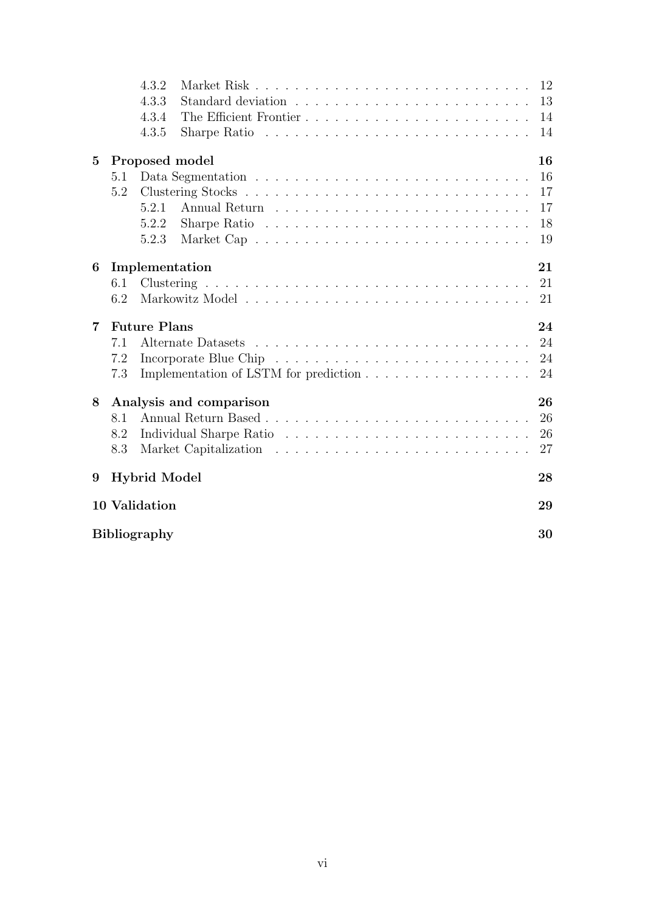|          |     | 4.3.2                                                                             |  |                                                                               |  |  |  |  |  |  |  |  |  | 12 |
|----------|-----|-----------------------------------------------------------------------------------|--|-------------------------------------------------------------------------------|--|--|--|--|--|--|--|--|--|----|
|          |     | 4.3.3                                                                             |  |                                                                               |  |  |  |  |  |  |  |  |  | 13 |
|          |     | 4.3.4                                                                             |  |                                                                               |  |  |  |  |  |  |  |  |  | 14 |
|          |     | 4.3.5                                                                             |  | Sharpe Ratio $\ldots \ldots \ldots \ldots \ldots \ldots \ldots \ldots \ldots$ |  |  |  |  |  |  |  |  |  | 14 |
|          |     |                                                                                   |  |                                                                               |  |  |  |  |  |  |  |  |  |    |
| $\bf{5}$ |     | Proposed model                                                                    |  |                                                                               |  |  |  |  |  |  |  |  |  | 16 |
|          | 5.1 |                                                                                   |  |                                                                               |  |  |  |  |  |  |  |  |  | 16 |
|          | 5.2 |                                                                                   |  |                                                                               |  |  |  |  |  |  |  |  |  | 17 |
|          |     | 5.2.1                                                                             |  |                                                                               |  |  |  |  |  |  |  |  |  | 17 |
|          |     | 5.2.2                                                                             |  | Sharpe Ratio $\ldots \ldots \ldots \ldots \ldots \ldots \ldots \ldots \ldots$ |  |  |  |  |  |  |  |  |  | 18 |
|          |     | 5.2.3                                                                             |  |                                                                               |  |  |  |  |  |  |  |  |  | 19 |
| 6        |     | Implementation                                                                    |  |                                                                               |  |  |  |  |  |  |  |  |  | 21 |
|          | 6.1 |                                                                                   |  |                                                                               |  |  |  |  |  |  |  |  |  | 21 |
|          | 6.2 |                                                                                   |  |                                                                               |  |  |  |  |  |  |  |  |  | 21 |
|          |     |                                                                                   |  |                                                                               |  |  |  |  |  |  |  |  |  |    |
|          |     |                                                                                   |  |                                                                               |  |  |  |  |  |  |  |  |  |    |
| 7        |     | <b>Future Plans</b>                                                               |  |                                                                               |  |  |  |  |  |  |  |  |  | 24 |
|          | 7.1 |                                                                                   |  |                                                                               |  |  |  |  |  |  |  |  |  | 24 |
|          | 7.2 |                                                                                   |  |                                                                               |  |  |  |  |  |  |  |  |  | 24 |
|          | 7.3 |                                                                                   |  |                                                                               |  |  |  |  |  |  |  |  |  | 24 |
|          |     | Implementation of LSTM for prediction $\ldots \ldots \ldots \ldots \ldots \ldots$ |  |                                                                               |  |  |  |  |  |  |  |  |  |    |
| 8        |     | Analysis and comparison                                                           |  |                                                                               |  |  |  |  |  |  |  |  |  | 26 |
|          | 8.1 |                                                                                   |  |                                                                               |  |  |  |  |  |  |  |  |  | 26 |
|          | 8.2 |                                                                                   |  |                                                                               |  |  |  |  |  |  |  |  |  | 26 |
|          | 8.3 |                                                                                   |  |                                                                               |  |  |  |  |  |  |  |  |  | 27 |
|          |     |                                                                                   |  |                                                                               |  |  |  |  |  |  |  |  |  |    |
| 9        |     | <b>Hybrid Model</b>                                                               |  |                                                                               |  |  |  |  |  |  |  |  |  | 28 |
|          |     | 10 Validation                                                                     |  |                                                                               |  |  |  |  |  |  |  |  |  | 29 |
|          |     | <b>Bibliography</b>                                                               |  |                                                                               |  |  |  |  |  |  |  |  |  | 30 |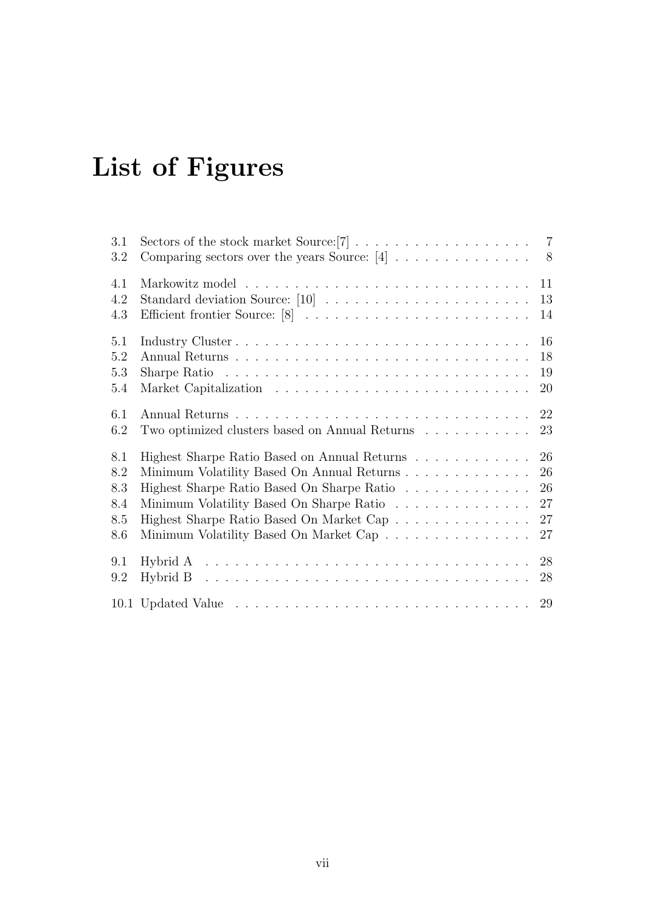# <span id="page-7-0"></span>List of Figures

| 3.1 |                                                                                                    |
|-----|----------------------------------------------------------------------------------------------------|
| 3.2 | Comparing sectors over the years Source: $[4]$<br>8                                                |
| 4.1 | 11                                                                                                 |
| 4.2 | 13                                                                                                 |
| 4.3 | Efficient frontier Source: [8]<br>14                                                               |
| 5.1 |                                                                                                    |
| 5.2 | 18                                                                                                 |
| 5.3 | Sharpe Ratio $\dots \dots \dots \dots \dots \dots \dots \dots \dots \dots \dots \dots \dots$<br>19 |
| 5.4 | 20                                                                                                 |
| 6.1 | $22\,$                                                                                             |
| 6.2 | Two optimized clusters based on Annual Returns<br>23                                               |
| 8.1 | 26<br>Highest Sharpe Ratio Based on Annual Returns                                                 |
| 8.2 | 26<br>Minimum Volatility Based On Annual Returns                                                   |
| 8.3 | 26<br>Highest Sharpe Ratio Based On Sharpe Ratio                                                   |
| 8.4 | 27<br>Minimum Volatility Based On Sharpe Ratio                                                     |
| 8.5 | 27<br>Highest Sharpe Ratio Based On Market Cap $\ldots \ldots \ldots \ldots \ldots$                |
| 8.6 | Minimum Volatility Based On Market Cap<br>27                                                       |
| 9.1 | Hybrid A $\ldots \ldots \ldots \ldots \ldots \ldots \ldots \ldots \ldots \ldots \ldots \ldots$     |
| 9.2 | 28                                                                                                 |
|     |                                                                                                    |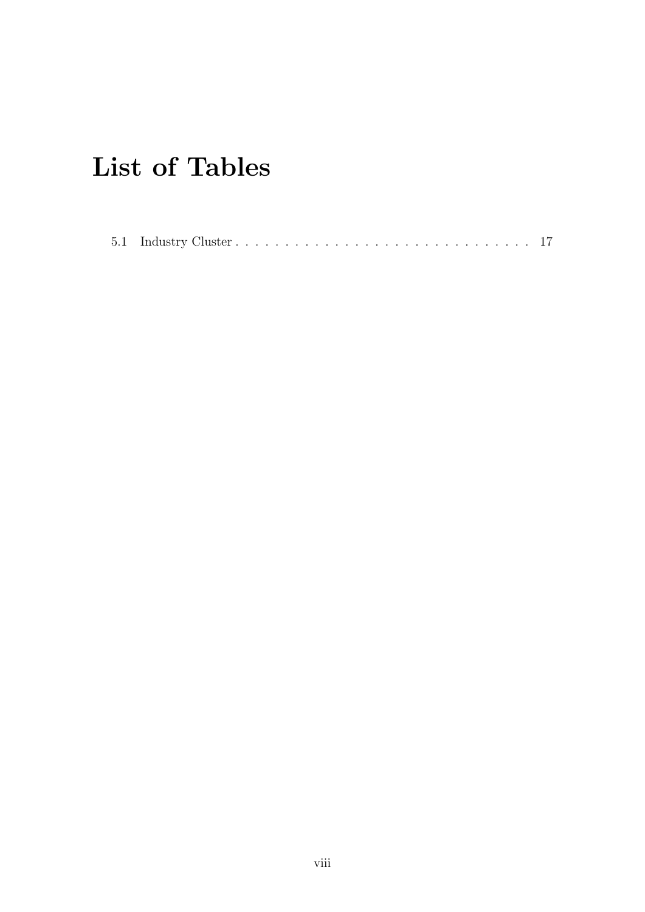# <span id="page-8-0"></span>List of Tables

|--|--|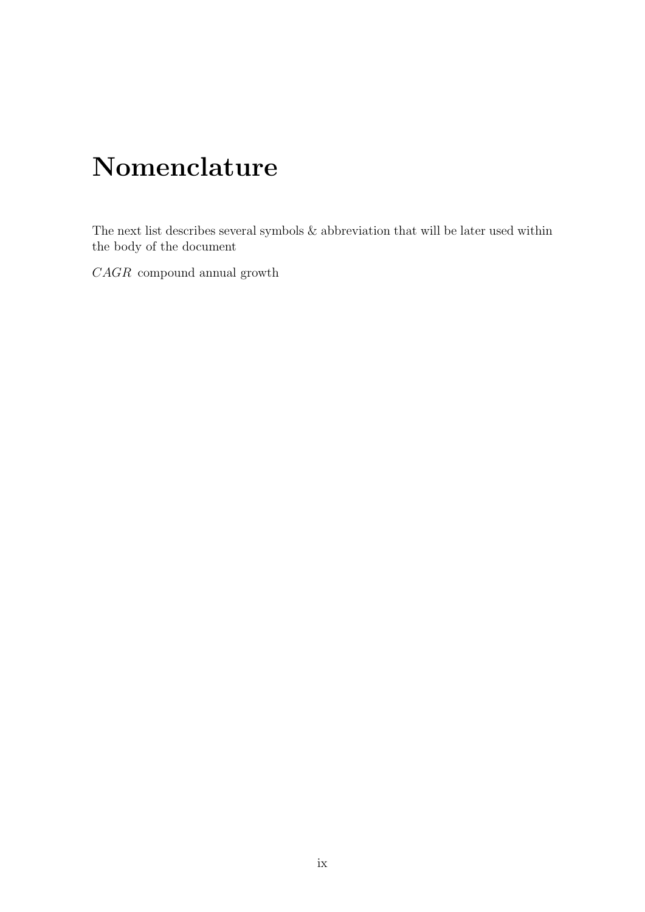# <span id="page-9-0"></span>Nomenclature

The next list describes several symbols & abbreviation that will be later used within the body of the document

CAGR compound annual growth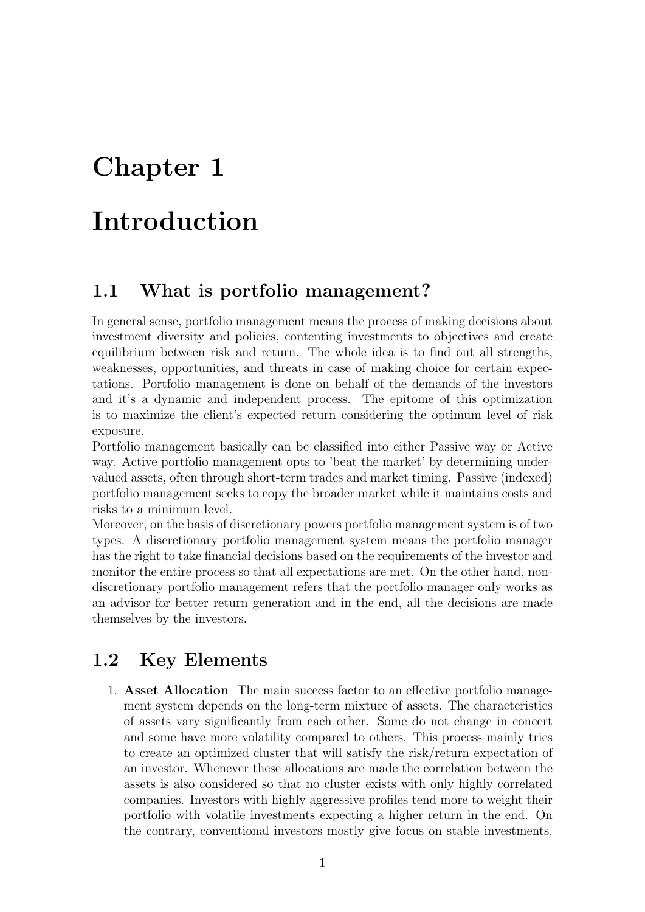# <span id="page-10-0"></span>Introduction

### <span id="page-10-1"></span>1.1 What is portfolio management?

In general sense, portfolio management means the process of making decisions about investment diversity and policies, contenting investments to objectives and create equilibrium between risk and return. The whole idea is to find out all strengths, weaknesses, opportunities, and threats in case of making choice for certain expectations. Portfolio management is done on behalf of the demands of the investors and it's a dynamic and independent process. The epitome of this optimization is to maximize the client's expected return considering the optimum level of risk exposure.

Portfolio management basically can be classified into either Passive way or Active way. Active portfolio management opts to 'beat the market' by determining undervalued assets, often through short-term trades and market timing. Passive (indexed) portfolio management seeks to copy the broader market while it maintains costs and risks to a minimum level.

Moreover, on the basis of discretionary powers portfolio management system is of two types. A discretionary portfolio management system means the portfolio manager has the right to take financial decisions based on the requirements of the investor and monitor the entire process so that all expectations are met. On the other hand, nondiscretionary portfolio management refers that the portfolio manager only works as an advisor for better return generation and in the end, all the decisions are made themselves by the investors.

### <span id="page-10-2"></span>1.2 Key Elements

1. Asset Allocation The main success factor to an effective portfolio management system depends on the long-term mixture of assets. The characteristics of assets vary significantly from each other. Some do not change in concert and some have more volatility compared to others. This process mainly tries to create an optimized cluster that will satisfy the risk/return expectation of an investor. Whenever these allocations are made the correlation between the assets is also considered so that no cluster exists with only highly correlated companies. Investors with highly aggressive profiles tend more to weight their portfolio with volatile investments expecting a higher return in the end. On the contrary, conventional investors mostly give focus on stable investments.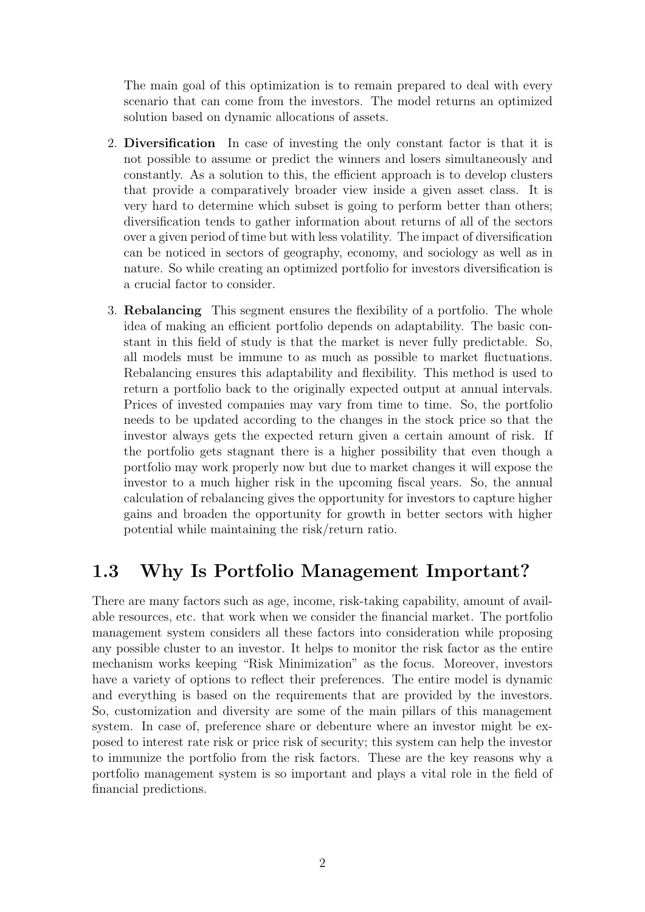The main goal of this optimization is to remain prepared to deal with every scenario that can come from the investors. The model returns an optimized solution based on dynamic allocations of assets.

- 2. Diversification In case of investing the only constant factor is that it is not possible to assume or predict the winners and losers simultaneously and constantly. As a solution to this, the efficient approach is to develop clusters that provide a comparatively broader view inside a given asset class. It is very hard to determine which subset is going to perform better than others; diversification tends to gather information about returns of all of the sectors over a given period of time but with less volatility. The impact of diversification can be noticed in sectors of geography, economy, and sociology as well as in nature. So while creating an optimized portfolio for investors diversification is a crucial factor to consider.
- 3. Rebalancing This segment ensures the flexibility of a portfolio. The whole idea of making an efficient portfolio depends on adaptability. The basic constant in this field of study is that the market is never fully predictable. So, all models must be immune to as much as possible to market fluctuations. Rebalancing ensures this adaptability and flexibility. This method is used to return a portfolio back to the originally expected output at annual intervals. Prices of invested companies may vary from time to time. So, the portfolio needs to be updated according to the changes in the stock price so that the investor always gets the expected return given a certain amount of risk. If the portfolio gets stagnant there is a higher possibility that even though a portfolio may work properly now but due to market changes it will expose the investor to a much higher risk in the upcoming fiscal years. So, the annual calculation of rebalancing gives the opportunity for investors to capture higher gains and broaden the opportunity for growth in better sectors with higher potential while maintaining the risk/return ratio.

### <span id="page-11-0"></span>1.3 Why Is Portfolio Management Important?

There are many factors such as age, income, risk-taking capability, amount of available resources, etc. that work when we consider the financial market. The portfolio management system considers all these factors into consideration while proposing any possible cluster to an investor. It helps to monitor the risk factor as the entire mechanism works keeping "Risk Minimization" as the focus. Moreover, investors have a variety of options to reflect their preferences. The entire model is dynamic and everything is based on the requirements that are provided by the investors. So, customization and diversity are some of the main pillars of this management system. In case of, preference share or debenture where an investor might be exposed to interest rate risk or price risk of security; this system can help the investor to immunize the portfolio from the risk factors. These are the key reasons why a portfolio management system is so important and plays a vital role in the field of financial predictions.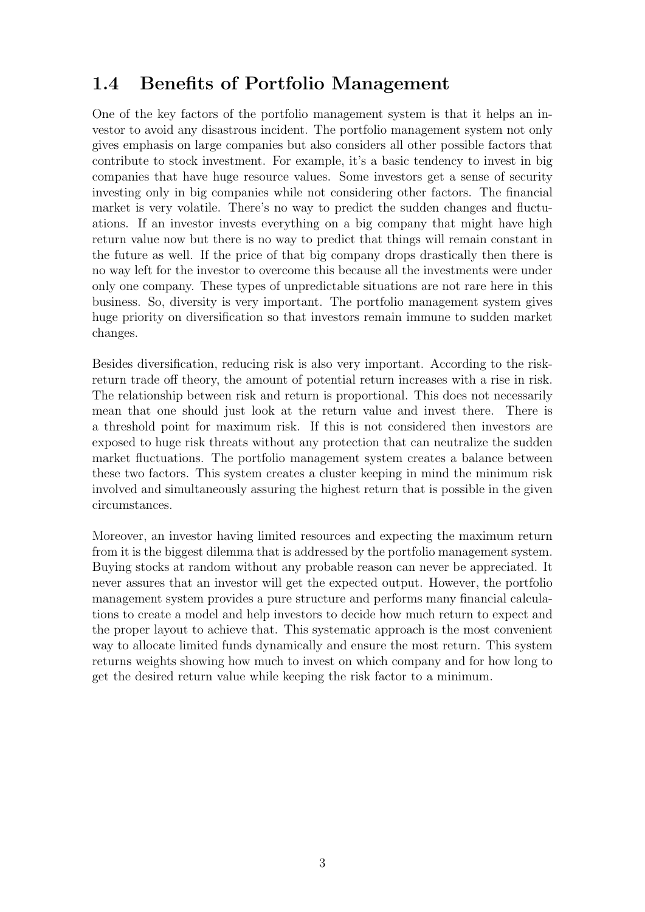### <span id="page-12-0"></span>1.4 Benefits of Portfolio Management

One of the key factors of the portfolio management system is that it helps an investor to avoid any disastrous incident. The portfolio management system not only gives emphasis on large companies but also considers all other possible factors that contribute to stock investment. For example, it's a basic tendency to invest in big companies that have huge resource values. Some investors get a sense of security investing only in big companies while not considering other factors. The financial market is very volatile. There's no way to predict the sudden changes and fluctuations. If an investor invests everything on a big company that might have high return value now but there is no way to predict that things will remain constant in the future as well. If the price of that big company drops drastically then there is no way left for the investor to overcome this because all the investments were under only one company. These types of unpredictable situations are not rare here in this business. So, diversity is very important. The portfolio management system gives huge priority on diversification so that investors remain immune to sudden market changes.

Besides diversification, reducing risk is also very important. According to the riskreturn trade off theory, the amount of potential return increases with a rise in risk. The relationship between risk and return is proportional. This does not necessarily mean that one should just look at the return value and invest there. There is a threshold point for maximum risk. If this is not considered then investors are exposed to huge risk threats without any protection that can neutralize the sudden market fluctuations. The portfolio management system creates a balance between these two factors. This system creates a cluster keeping in mind the minimum risk involved and simultaneously assuring the highest return that is possible in the given circumstances.

Moreover, an investor having limited resources and expecting the maximum return from it is the biggest dilemma that is addressed by the portfolio management system. Buying stocks at random without any probable reason can never be appreciated. It never assures that an investor will get the expected output. However, the portfolio management system provides a pure structure and performs many financial calculations to create a model and help investors to decide how much return to expect and the proper layout to achieve that. This systematic approach is the most convenient way to allocate limited funds dynamically and ensure the most return. This system returns weights showing how much to invest on which company and for how long to get the desired return value while keeping the risk factor to a minimum.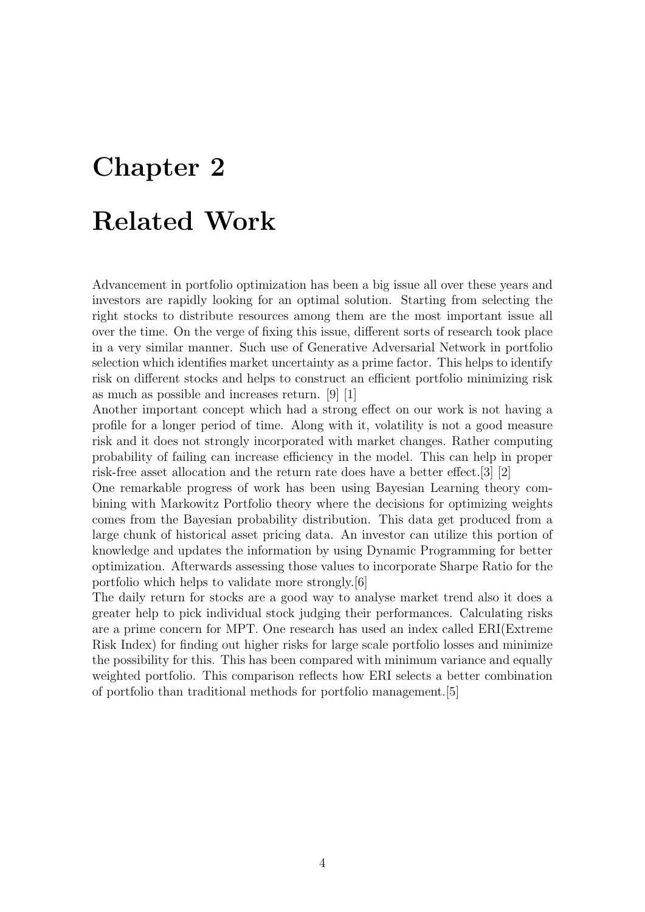# <span id="page-13-0"></span>Chapter 2 Related Work

Advancement in portfolio optimization has been a big issue all over these years and investors are rapidly looking for an optimal solution. Starting from selecting the right stocks to distribute resources among them are the most important issue all over the time. On the verge of fixing this issue, different sorts of research took place in a very similar manner. Such use of Generative Adversarial Network in portfolio selection which identifies market uncertainty as a prime factor. This helps to identify risk on different stocks and helps to construct an efficient portfolio minimizing risk as much as possible and increases return. [\[9\]](#page-39-5) [\[1\]](#page-39-6)

Another important concept which had a strong effect on our work is not having a profile for a longer period of time. Along with it, volatility is not a good measure risk and it does not strongly incorporated with market changes. Rather computing probability of failing can increase efficiency in the model. This can help in proper risk-free asset allocation and the return rate does have a better effect.[\[3\]](#page-39-7) [\[2\]](#page-39-8)

One remarkable progress of work has been using Bayesian Learning theory combining with Markowitz Portfolio theory where the decisions for optimizing weights comes from the Bayesian probability distribution. This data get produced from a large chunk of historical asset pricing data. An investor can utilize this portion of knowledge and updates the information by using Dynamic Programming for better optimization. Afterwards assessing those values to incorporate Sharpe Ratio for the portfolio which helps to validate more strongly.[\[6\]](#page-39-9)

The daily return for stocks are a good way to analyse market trend also it does a greater help to pick individual stock judging their performances. Calculating risks are a prime concern for MPT. One research has used an index called ERI(Extreme Risk Index) for finding out higher risks for large scale portfolio losses and minimize the possibility for this. This has been compared with minimum variance and equally weighted portfolio. This comparison reflects how ERI selects a better combination of portfolio than traditional methods for portfolio management.[\[5\]](#page-39-10)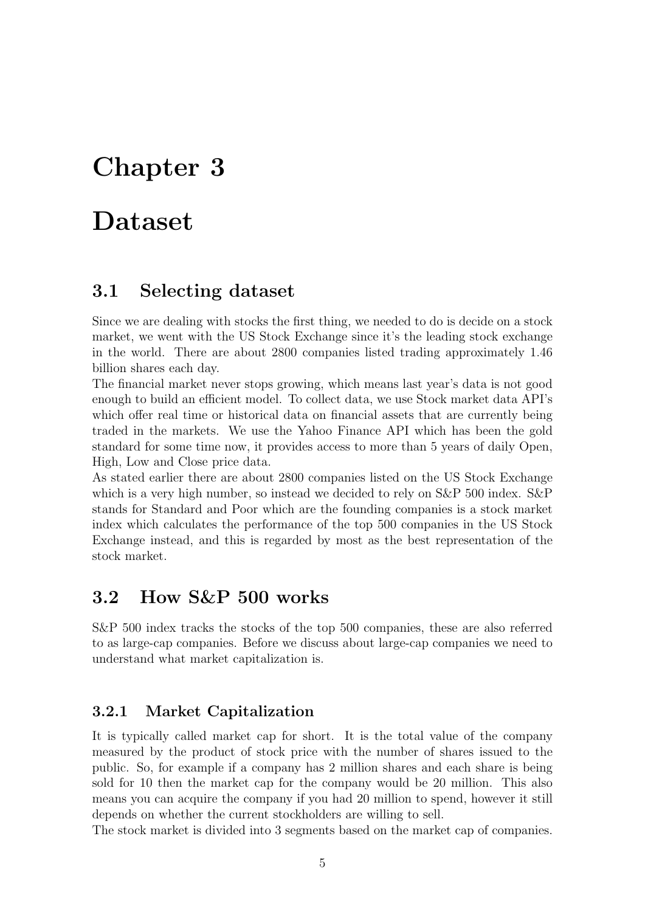## <span id="page-14-0"></span>Dataset

#### <span id="page-14-1"></span>3.1 Selecting dataset

Since we are dealing with stocks the first thing, we needed to do is decide on a stock market, we went with the US Stock Exchange since it's the leading stock exchange in the world. There are about 2800 companies listed trading approximately 1.46 billion shares each day.

The financial market never stops growing, which means last year's data is not good enough to build an efficient model. To collect data, we use Stock market data API's which offer real time or historical data on financial assets that are currently being traded in the markets. We use the Yahoo Finance API which has been the gold standard for some time now, it provides access to more than 5 years of daily Open, High, Low and Close price data.

As stated earlier there are about 2800 companies listed on the US Stock Exchange which is a very high number, so instead we decided to rely on  $S\&P 500$  index.  $S\&P$ stands for Standard and Poor which are the founding companies is a stock market index which calculates the performance of the top 500 companies in the US Stock Exchange instead, and this is regarded by most as the best representation of the stock market.

#### <span id="page-14-2"></span>3.2 How S&P 500 works

S&P 500 index tracks the stocks of the top 500 companies, these are also referred to as large-cap companies. Before we discuss about large-cap companies we need to understand what market capitalization is.

#### <span id="page-14-3"></span>3.2.1 Market Capitalization

It is typically called market cap for short. It is the total value of the company measured by the product of stock price with the number of shares issued to the public. So, for example if a company has 2 million shares and each share is being sold for 10 then the market cap for the company would be 20 million. This also means you can acquire the company if you had 20 million to spend, however it still depends on whether the current stockholders are willing to sell.

The stock market is divided into 3 segments based on the market cap of companies.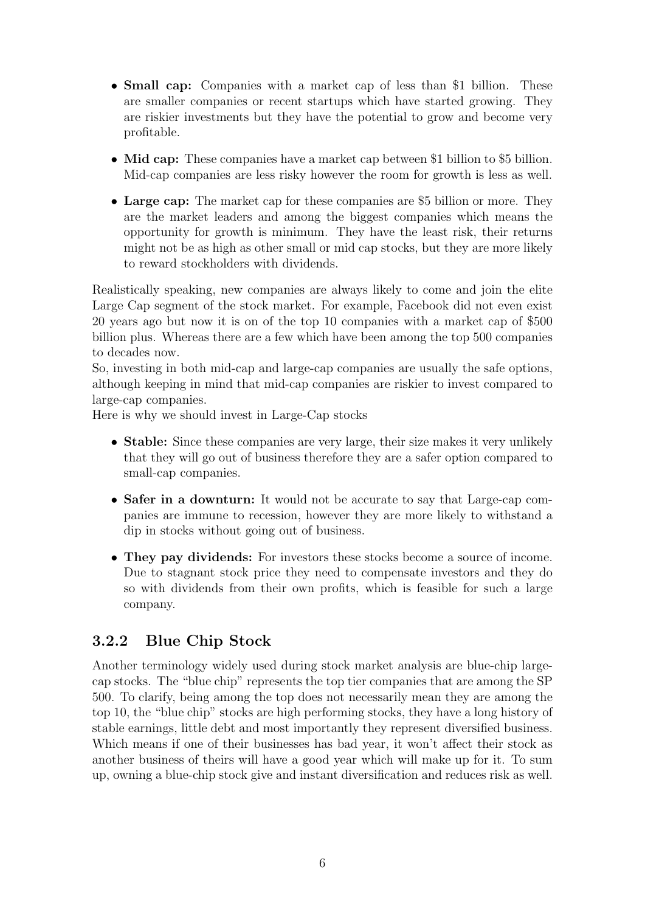- **Small cap:** Companies with a market cap of less than \$1 billion. These are smaller companies or recent startups which have started growing. They are riskier investments but they have the potential to grow and become very profitable.
- Mid cap: These companies have a market cap between \$1 billion to \$5 billion. Mid-cap companies are less risky however the room for growth is less as well.
- Large cap: The market cap for these companies are \$5 billion or more. They are the market leaders and among the biggest companies which means the opportunity for growth is minimum. They have the least risk, their returns might not be as high as other small or mid cap stocks, but they are more likely to reward stockholders with dividends.

Realistically speaking, new companies are always likely to come and join the elite Large Cap segment of the stock market. For example, Facebook did not even exist 20 years ago but now it is on of the top 10 companies with a market cap of \$500 billion plus. Whereas there are a few which have been among the top 500 companies to decades now.

So, investing in both mid-cap and large-cap companies are usually the safe options, although keeping in mind that mid-cap companies are riskier to invest compared to large-cap companies.

Here is why we should invest in Large-Cap stocks

- Stable: Since these companies are very large, their size makes it very unlikely that they will go out of business therefore they are a safer option compared to small-cap companies.
- Safer in a downturn: It would not be accurate to say that Large-cap companies are immune to recession, however they are more likely to withstand a dip in stocks without going out of business.
- They pay dividends: For investors these stocks become a source of income. Due to stagnant stock price they need to compensate investors and they do so with dividends from their own profits, which is feasible for such a large company.

#### <span id="page-15-0"></span>3.2.2 Blue Chip Stock

Another terminology widely used during stock market analysis are blue-chip largecap stocks. The "blue chip" represents the top tier companies that are among the SP 500. To clarify, being among the top does not necessarily mean they are among the top 10, the "blue chip" stocks are high performing stocks, they have a long history of stable earnings, little debt and most importantly they represent diversified business. Which means if one of their businesses has bad year, it won't affect their stock as another business of theirs will have a good year which will make up for it. To sum up, owning a blue-chip stock give and instant diversification and reduces risk as well.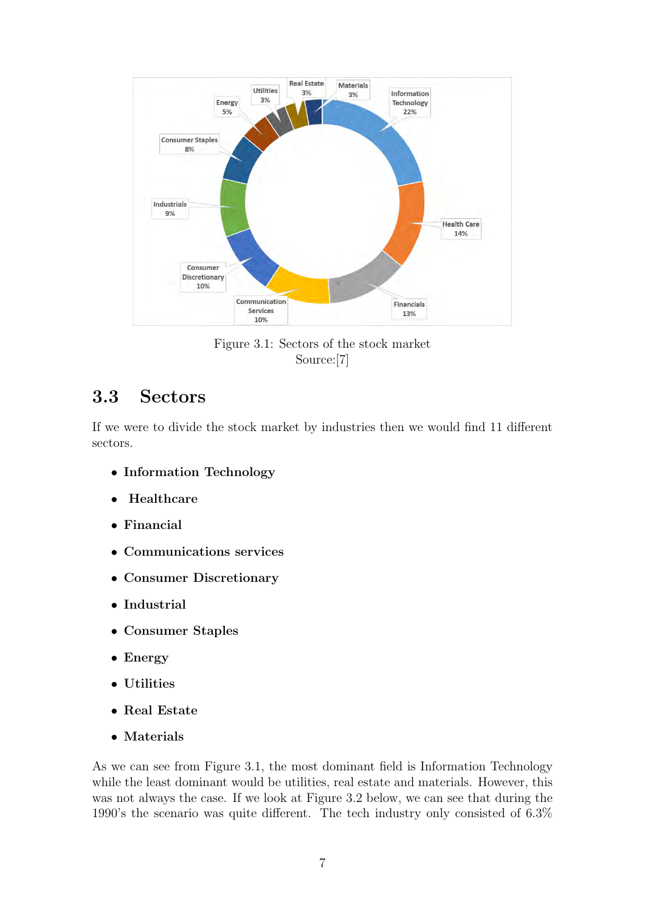<span id="page-16-1"></span>

Figure 3.1: Sectors of the stock market Source:[\[7\]](#page-39-1)

### <span id="page-16-0"></span>3.3 Sectors

If we were to divide the stock market by industries then we would find 11 different sectors.

- Information Technology
- Healthcare
- Financial
- Communications services
- Consumer Discretionary
- Industrial
- Consumer Staples
- Energy
- Utilities
- Real Estate
- Materials

As we can see from Figure 3.1, the most dominant field is Information Technology while the least dominant would be utilities, real estate and materials. However, this was not always the case. If we look at Figure 3.2 below, we can see that during the 1990's the scenario was quite different. The tech industry only consisted of 6.3%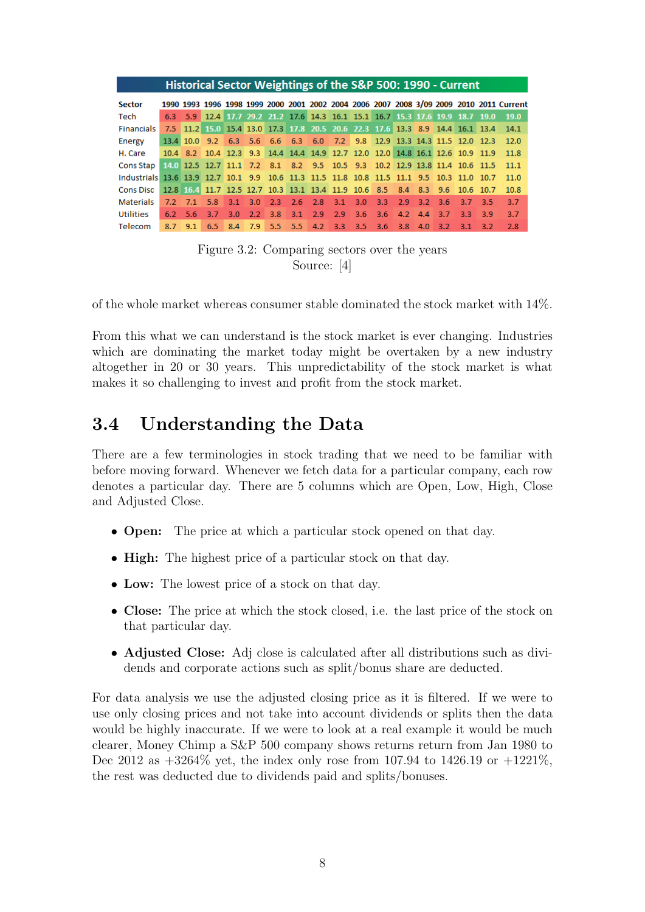<span id="page-17-1"></span>

|                                                                                           |                | Historical Sector Weightings of the S&P 500: 1990 - Current                   |               |                 |     |  |                                                                                         |  |                 |               |      |       |                                                                                         |
|-------------------------------------------------------------------------------------------|----------------|-------------------------------------------------------------------------------|---------------|-----------------|-----|--|-----------------------------------------------------------------------------------------|--|-----------------|---------------|------|-------|-----------------------------------------------------------------------------------------|
| <b>Sector</b>                                                                             |                |                                                                               |               |                 |     |  |                                                                                         |  |                 |               |      |       | 1990 1993 1996 1998 1999 2000 2001 2002 2004 2006 2007 2008 3/09 2009 2010 2011 Current |
| Tech                                                                                      |                | 6.3 5.9 12.4 17.7 29.2 21.2 17.6 14.3 16.1 15.1 16.7 15.3 17.6 19.9 18.7 19.0 |               |                 |     |  |                                                                                         |  |                 |               |      |       | 19.0                                                                                    |
| Financials                                                                                |                |                                                                               |               |                 |     |  |                                                                                         |  |                 |               |      |       | 7.5 11.2 15.0 15.4 13.0 17.3 17.8 20.5 20.6 22.3 17.6 13.3 8.9 14.4 16.1 13.4 14.1      |
| Energy                                                                                    |                | 13.4 10.0 9.2 6.3 5.6 6.6 6.3 6.0 7.2 9.8 12.9 13.3 14.3 11.5 12.0 12.3       |               |                 |     |  |                                                                                         |  |                 |               |      |       | 12.0                                                                                    |
| H. Care                                                                                   |                | 10.4 8.2 10.4 12.3 9.3 14.4 14.4 14.9 12.7 12.0 12.0 14.8 16.1 12.6 10.9 11.9 |               |                 |     |  |                                                                                         |  |                 |               |      |       | 11.8                                                                                    |
| Cons Stap                                                                                 |                | 14.0 12.5 12.7 11.1 7.2 8.1 8.2 9.5 10.5 9.3 10.2 12.9 13.8 11.4 10.6 11.5    |               |                 |     |  |                                                                                         |  |                 |               |      |       | 11.1                                                                                    |
| Industrials 13.6 13.9 12.7 10.1 9.9 10.6 11.3 11.5 11.8 10.8 11.5 11.1 9.5 10.3 11.0 10.7 |                |                                                                               |               |                 |     |  |                                                                                         |  |                 |               |      |       | 11.0                                                                                    |
| <b>Cons Disc</b>                                                                          |                | 12.8 16.4 11.7 12.5 12.7 10.3 13.1 13.4 11.9 10.6 8.5 8.4 8.3 9.6 10.6 10.7   |               |                 |     |  |                                                                                         |  |                 |               |      |       | 10.8                                                                                    |
| Materials                                                                                 | $7.2$ $7.1$    | 5.8                                                                           |               | $3.1 \quad 3.0$ |     |  | $\begin{array}{cccccc} 2.3 & 2.6 & 2.8 & 3.1 & 3.0 & 3.3 & 2.9 & 3.2 & 3.6 \end{array}$ |  |                 |               | 3.7  | - 3.5 | 3.7                                                                                     |
| Utilities                                                                                 | $6.2\quad 5.6$ | 3.7                                                                           | $3.0^{\circ}$ | 2.2             | 3.8 |  | $3.1$ $2.9$ $2.9$ $3.6$ $3.6$                                                           |  | $4.2 \quad 4.4$ | -3.7          | -3.3 | 3.9   | 3.7                                                                                     |
| Telecom                                                                                   | $8.7$ $9.1$    |                                                                               |               |                 |     |  | 6.5 8.4 7.9 5.5 5.5 4.2 3.3 3.5 3.6 3.8                                                 |  | 4.0             | $3.2^{\circ}$ | 3.1  | 3.2   | 2.8                                                                                     |

Figure 3.2: Comparing sectors over the years Source: [\[4\]](#page-39-2)

of the whole market whereas consumer stable dominated the stock market with 14%.

From this what we can understand is the stock market is ever changing. Industries which are dominating the market today might be overtaken by a new industry altogether in 20 or 30 years. This unpredictability of the stock market is what makes it so challenging to invest and profit from the stock market.

### <span id="page-17-0"></span>3.4 Understanding the Data

There are a few terminologies in stock trading that we need to be familiar with before moving forward. Whenever we fetch data for a particular company, each row denotes a particular day. There are 5 columns which are Open, Low, High, Close and Adjusted Close.

- **Open:** The price at which a particular stock opened on that day.
- **High:** The highest price of a particular stock on that day.
- Low: The lowest price of a stock on that day.
- Close: The price at which the stock closed, i.e. the last price of the stock on that particular day.
- Adjusted Close: Adj close is calculated after all distributions such as dividends and corporate actions such as split/bonus share are deducted.

For data analysis we use the adjusted closing price as it is filtered. If we were to use only closing prices and not take into account dividends or splits then the data would be highly inaccurate. If we were to look at a real example it would be much clearer, Money Chimp a S&P 500 company shows returns return from Jan 1980 to Dec 2012 as  $+3264\%$  yet, the index only rose from 107.94 to 1426.19 or  $+1221\%$ , the rest was deducted due to dividends paid and splits/bonuses.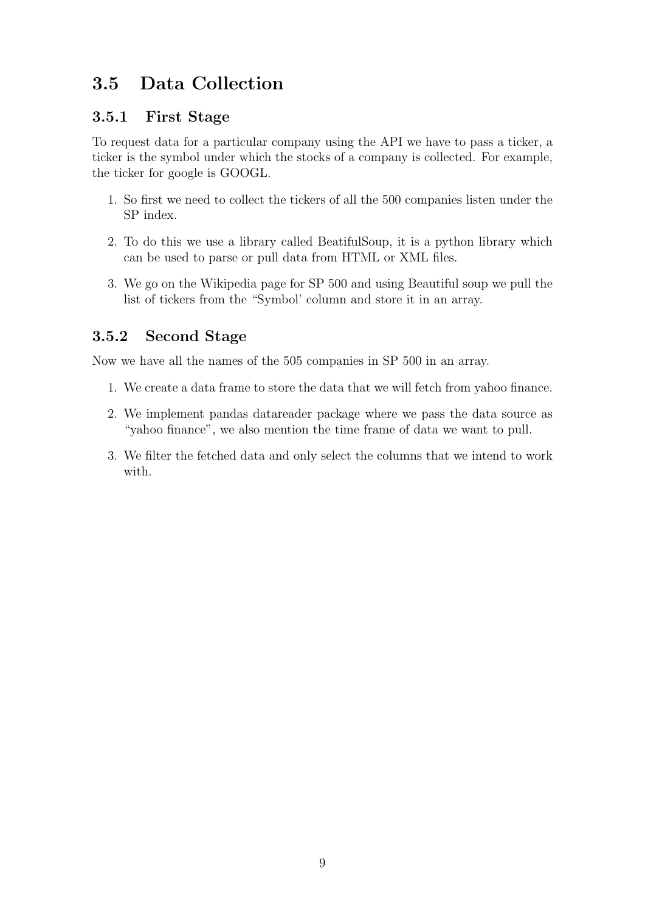### <span id="page-18-0"></span>3.5 Data Collection

#### <span id="page-18-1"></span>3.5.1 First Stage

To request data for a particular company using the API we have to pass a ticker, a ticker is the symbol under which the stocks of a company is collected. For example, the ticker for google is GOOGL.

- 1. So first we need to collect the tickers of all the 500 companies listen under the SP index.
- 2. To do this we use a library called BeatifulSoup, it is a python library which can be used to parse or pull data from HTML or XML files.
- 3. We go on the Wikipedia page for SP 500 and using Beautiful soup we pull the list of tickers from the "Symbol' column and store it in an array.

#### <span id="page-18-2"></span>3.5.2 Second Stage

Now we have all the names of the 505 companies in SP 500 in an array.

- 1. We create a data frame to store the data that we will fetch from yahoo finance.
- 2. We implement pandas datareader package where we pass the data source as "yahoo finance", we also mention the time frame of data we want to pull.
- 3. We filter the fetched data and only select the columns that we intend to work with.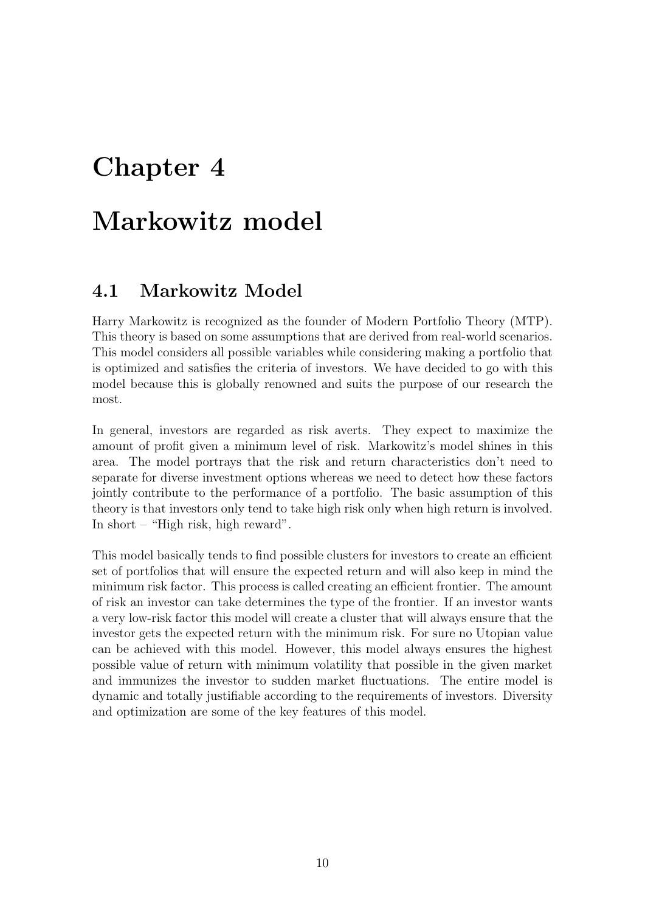# <span id="page-19-0"></span>Markowitz model

### <span id="page-19-1"></span>4.1 Markowitz Model

Harry Markowitz is recognized as the founder of Modern Portfolio Theory (MTP). This theory is based on some assumptions that are derived from real-world scenarios. This model considers all possible variables while considering making a portfolio that is optimized and satisfies the criteria of investors. We have decided to go with this model because this is globally renowned and suits the purpose of our research the most.

In general, investors are regarded as risk averts. They expect to maximize the amount of profit given a minimum level of risk. Markowitz's model shines in this area. The model portrays that the risk and return characteristics don't need to separate for diverse investment options whereas we need to detect how these factors jointly contribute to the performance of a portfolio. The basic assumption of this theory is that investors only tend to take high risk only when high return is involved. In short – "High risk, high reward".

This model basically tends to find possible clusters for investors to create an efficient set of portfolios that will ensure the expected return and will also keep in mind the minimum risk factor. This process is called creating an efficient frontier. The amount of risk an investor can take determines the type of the frontier. If an investor wants a very low-risk factor this model will create a cluster that will always ensure that the investor gets the expected return with the minimum risk. For sure no Utopian value can be achieved with this model. However, this model always ensures the highest possible value of return with minimum volatility that possible in the given market and immunizes the investor to sudden market fluctuations. The entire model is dynamic and totally justifiable according to the requirements of investors. Diversity and optimization are some of the key features of this model.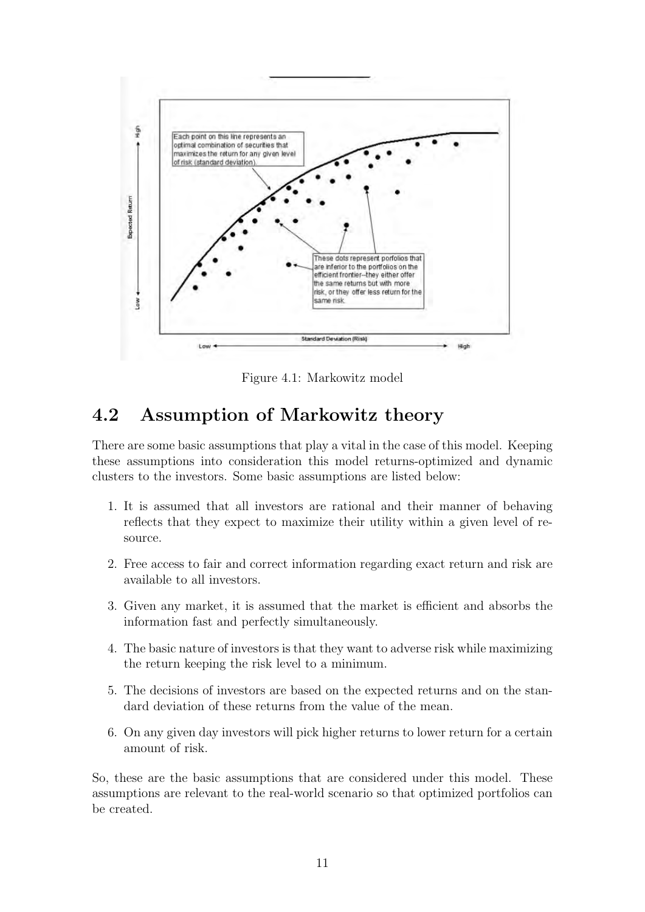<span id="page-20-1"></span>

Figure 4.1: Markowitz model

### <span id="page-20-0"></span>4.2 Assumption of Markowitz theory

There are some basic assumptions that play a vital in the case of this model. Keeping these assumptions into consideration this model returns-optimized and dynamic clusters to the investors. Some basic assumptions are listed below:

- 1. It is assumed that all investors are rational and their manner of behaving reflects that they expect to maximize their utility within a given level of resource.
- 2. Free access to fair and correct information regarding exact return and risk are available to all investors.
- 3. Given any market, it is assumed that the market is efficient and absorbs the information fast and perfectly simultaneously.
- 4. The basic nature of investors is that they want to adverse risk while maximizing the return keeping the risk level to a minimum.
- 5. The decisions of investors are based on the expected returns and on the standard deviation of these returns from the value of the mean.
- 6. On any given day investors will pick higher returns to lower return for a certain amount of risk.

So, these are the basic assumptions that are considered under this model. These assumptions are relevant to the real-world scenario so that optimized portfolios can be created.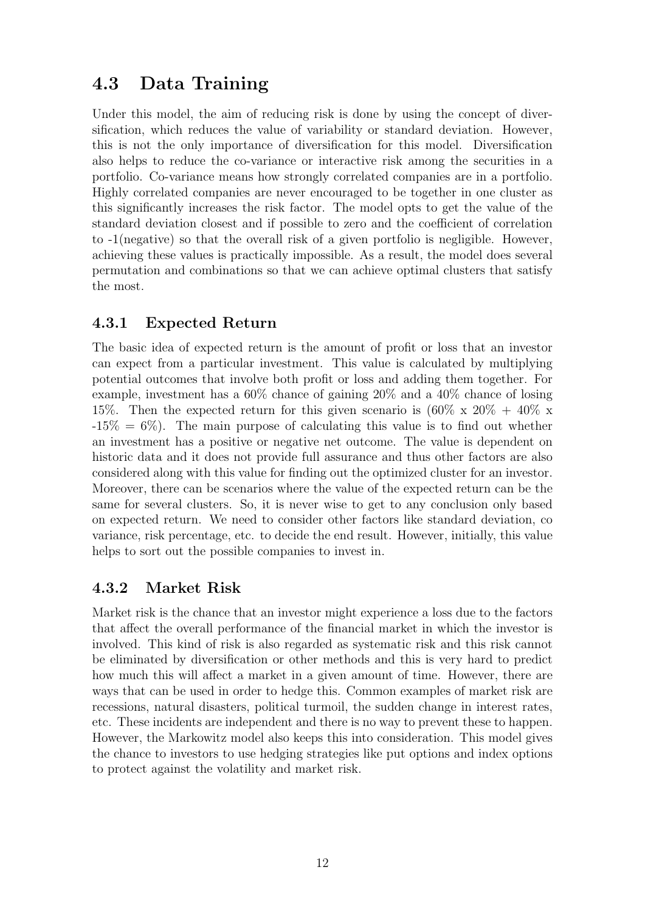### <span id="page-21-0"></span>4.3 Data Training

Under this model, the aim of reducing risk is done by using the concept of diversification, which reduces the value of variability or standard deviation. However, this is not the only importance of diversification for this model. Diversification also helps to reduce the co-variance or interactive risk among the securities in a portfolio. Co-variance means how strongly correlated companies are in a portfolio. Highly correlated companies are never encouraged to be together in one cluster as this significantly increases the risk factor. The model opts to get the value of the standard deviation closest and if possible to zero and the coefficient of correlation to -1(negative) so that the overall risk of a given portfolio is negligible. However, achieving these values is practically impossible. As a result, the model does several permutation and combinations so that we can achieve optimal clusters that satisfy the most.

#### <span id="page-21-1"></span>4.3.1 Expected Return

The basic idea of expected return is the amount of profit or loss that an investor can expect from a particular investment. This value is calculated by multiplying potential outcomes that involve both profit or loss and adding them together. For example, investment has a 60% chance of gaining 20% and a 40% chance of losing 15%. Then the expected return for this given scenario is  $(60\% \times 20\% + 40\% \times$  $-15\% = 6\%$ . The main purpose of calculating this value is to find out whether an investment has a positive or negative net outcome. The value is dependent on historic data and it does not provide full assurance and thus other factors are also considered along with this value for finding out the optimized cluster for an investor. Moreover, there can be scenarios where the value of the expected return can be the same for several clusters. So, it is never wise to get to any conclusion only based on expected return. We need to consider other factors like standard deviation, co variance, risk percentage, etc. to decide the end result. However, initially, this value helps to sort out the possible companies to invest in.

#### <span id="page-21-2"></span>4.3.2 Market Risk

Market risk is the chance that an investor might experience a loss due to the factors that affect the overall performance of the financial market in which the investor is involved. This kind of risk is also regarded as systematic risk and this risk cannot be eliminated by diversification or other methods and this is very hard to predict how much this will affect a market in a given amount of time. However, there are ways that can be used in order to hedge this. Common examples of market risk are recessions, natural disasters, political turmoil, the sudden change in interest rates, etc. These incidents are independent and there is no way to prevent these to happen. However, the Markowitz model also keeps this into consideration. This model gives the chance to investors to use hedging strategies like put options and index options to protect against the volatility and market risk.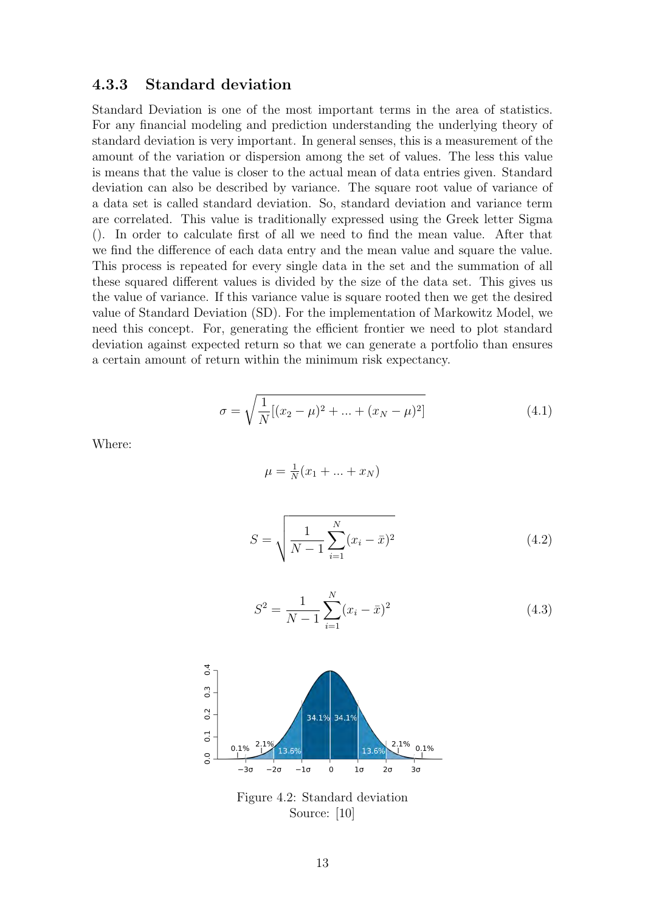#### <span id="page-22-0"></span>4.3.3 Standard deviation

Standard Deviation is one of the most important terms in the area of statistics. For any financial modeling and prediction understanding the underlying theory of standard deviation is very important. In general senses, this is a measurement of the amount of the variation or dispersion among the set of values. The less this value is means that the value is closer to the actual mean of data entries given. Standard deviation can also be described by variance. The square root value of variance of a data set is called standard deviation. So, standard deviation and variance term are correlated. This value is traditionally expressed using the Greek letter Sigma (). In order to calculate first of all we need to find the mean value. After that we find the difference of each data entry and the mean value and square the value. This process is repeated for every single data in the set and the summation of all these squared different values is divided by the size of the data set. This gives us the value of variance. If this variance value is square rooted then we get the desired value of Standard Deviation (SD). For the implementation of Markowitz Model, we need this concept. For, generating the efficient frontier we need to plot standard deviation against expected return so that we can generate a portfolio than ensures a certain amount of return within the minimum risk expectancy.

$$
\sigma = \sqrt{\frac{1}{N}[(x_2 - \mu)^2 + \dots + (x_N - \mu)^2]}
$$
\n(4.1)

Where:

$$
\mu = \frac{1}{N}(x_1 + \dots + x_N)
$$
  

$$
S = \sqrt{\frac{1}{N - 1} \sum_{i=1}^{N} (x_i - \bar{x})^2}
$$
(4.2)

$$
S^2 = \frac{1}{N-1} \sum_{i=1}^{N} (x_i - \bar{x})^2
$$
 (4.3)

<span id="page-22-1"></span>

Figure 4.2: Standard deviation Source: [\[10\]](#page-39-3)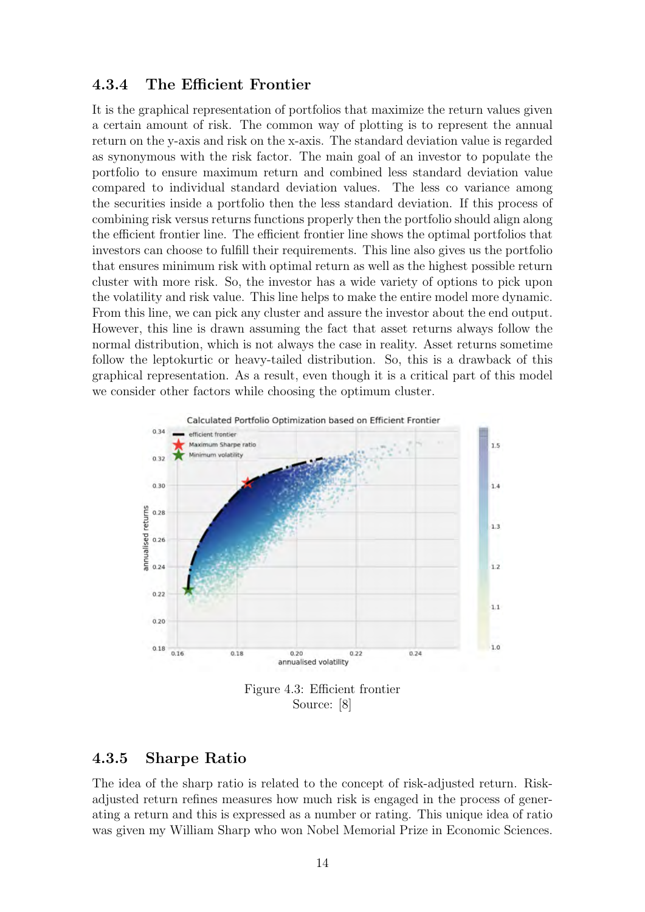#### <span id="page-23-0"></span>4.3.4 The Efficient Frontier

It is the graphical representation of portfolios that maximize the return values given a certain amount of risk. The common way of plotting is to represent the annual return on the y-axis and risk on the x-axis. The standard deviation value is regarded as synonymous with the risk factor. The main goal of an investor to populate the portfolio to ensure maximum return and combined less standard deviation value compared to individual standard deviation values. The less co variance among the securities inside a portfolio then the less standard deviation. If this process of combining risk versus returns functions properly then the portfolio should align along the efficient frontier line. The efficient frontier line shows the optimal portfolios that investors can choose to fulfill their requirements. This line also gives us the portfolio that ensures minimum risk with optimal return as well as the highest possible return cluster with more risk. So, the investor has a wide variety of options to pick upon the volatility and risk value. This line helps to make the entire model more dynamic. From this line, we can pick any cluster and assure the investor about the end output. However, this line is drawn assuming the fact that asset returns always follow the normal distribution, which is not always the case in reality. Asset returns sometime follow the leptokurtic or heavy-tailed distribution. So, this is a drawback of this graphical representation. As a result, even though it is a critical part of this model we consider other factors while choosing the optimum cluster.

<span id="page-23-2"></span>

#### <span id="page-23-1"></span>4.3.5 Sharpe Ratio

The idea of the sharp ratio is related to the concept of risk-adjusted return. Riskadjusted return refines measures how much risk is engaged in the process of generating a return and this is expressed as a number or rating. This unique idea of ratio was given my William Sharp who won Nobel Memorial Prize in Economic Sciences.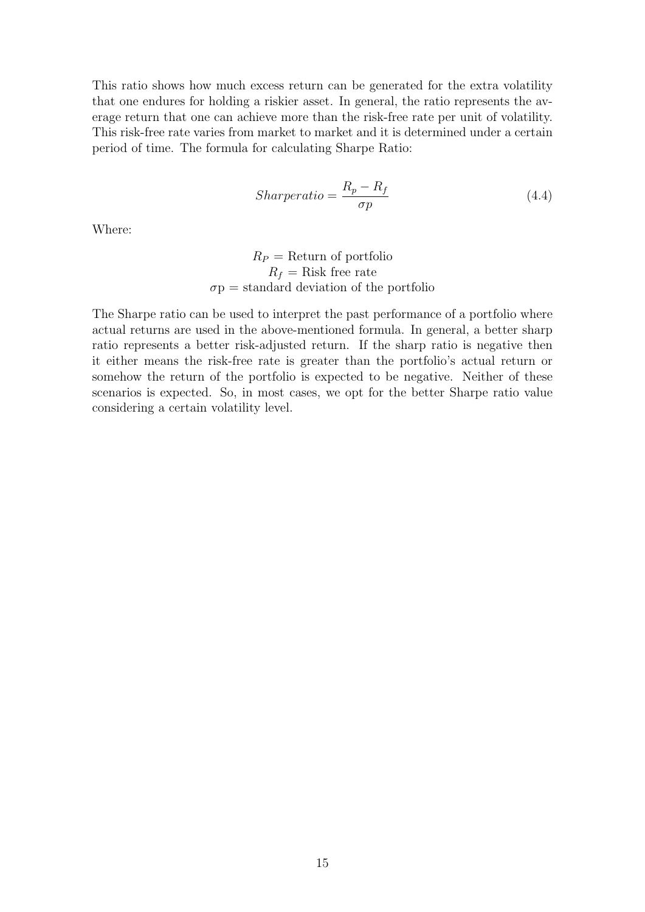This ratio shows how much excess return can be generated for the extra volatility that one endures for holding a riskier asset. In general, the ratio represents the average return that one can achieve more than the risk-free rate per unit of volatility. This risk-free rate varies from market to market and it is determined under a certain period of time. The formula for calculating Sharpe Ratio:

$$
Sharperatio = \frac{R_p - R_f}{\sigma p} \tag{4.4}
$$

Where:

$$
R_P = \text{Return of portfolio}
$$
  

$$
R_f = \text{Risk free rate}
$$
  

$$
\sigma \text{p} = \text{standard deviation of the portfolio}
$$

The Sharpe ratio can be used to interpret the past performance of a portfolio where actual returns are used in the above-mentioned formula. In general, a better sharp ratio represents a better risk-adjusted return. If the sharp ratio is negative then it either means the risk-free rate is greater than the portfolio's actual return or somehow the return of the portfolio is expected to be negative. Neither of these scenarios is expected. So, in most cases, we opt for the better Sharpe ratio value considering a certain volatility level.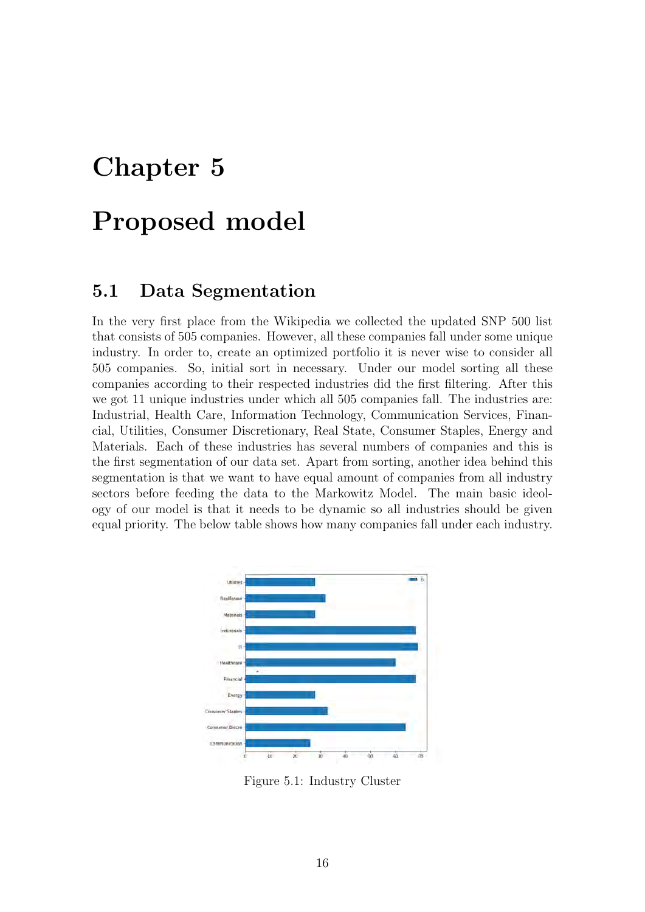## <span id="page-25-0"></span>Proposed model

#### <span id="page-25-1"></span>5.1 Data Segmentation

In the very first place from the Wikipedia we collected the updated SNP 500 list that consists of 505 companies. However, all these companies fall under some unique industry. In order to, create an optimized portfolio it is never wise to consider all 505 companies. So, initial sort in necessary. Under our model sorting all these companies according to their respected industries did the first filtering. After this we got 11 unique industries under which all 505 companies fall. The industries are: Industrial, Health Care, Information Technology, Communication Services, Financial, Utilities, Consumer Discretionary, Real State, Consumer Staples, Energy and Materials. Each of these industries has several numbers of companies and this is the first segmentation of our data set. Apart from sorting, another idea behind this segmentation is that we want to have equal amount of companies from all industry sectors before feeding the data to the Markowitz Model. The main basic ideology of our model is that it needs to be dynamic so all industries should be given equal priority. The below table shows how many companies fall under each industry.

<span id="page-25-2"></span>

Figure 5.1: Industry Cluster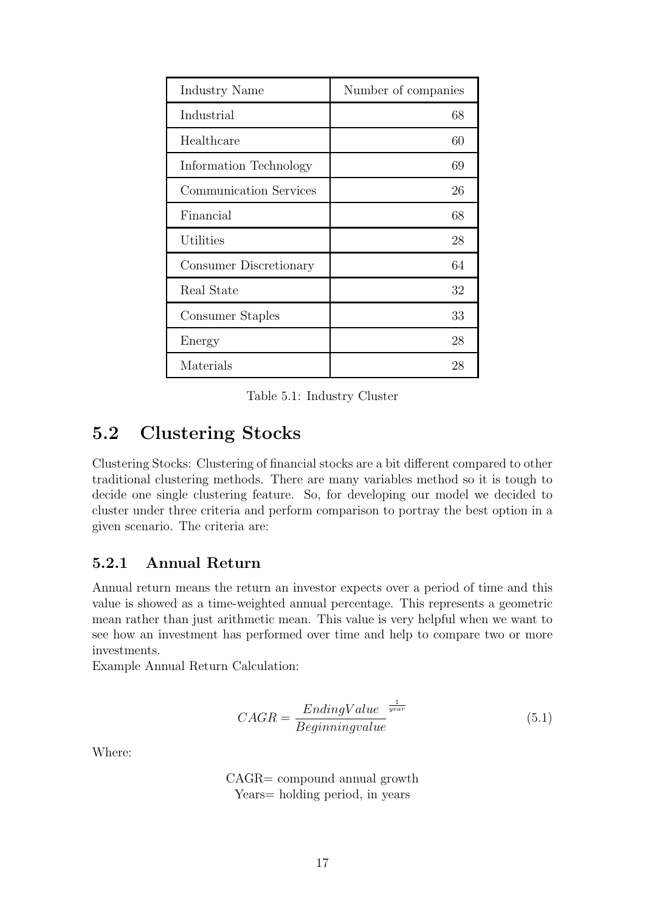<span id="page-26-2"></span>

| Industry Name                 | Number of companies |
|-------------------------------|---------------------|
| Industrial                    | 68                  |
| Healthcare                    | 60                  |
| Information Technology        | 69                  |
| <b>Communication Services</b> | 26                  |
| Financial                     | 68                  |
| Utilities                     | 28                  |
| Consumer Discretionary        | 64                  |
| Real State                    | 32                  |
| Consumer Staples              | 33                  |
| Energy                        | 28                  |
| Materials                     | 28                  |

Table 5.1: Industry Cluster

### <span id="page-26-0"></span>5.2 Clustering Stocks

Clustering Stocks: Clustering of financial stocks are a bit different compared to other traditional clustering methods. There are many variables method so it is tough to decide one single clustering feature. So, for developing our model we decided to cluster under three criteria and perform comparison to portray the best option in a given scenario. The criteria are:

#### <span id="page-26-1"></span>5.2.1 Annual Return

Annual return means the return an investor expects over a period of time and this value is showed as a time-weighted annual percentage. This represents a geometric mean rather than just arithmetic mean. This value is very helpful when we want to see how an investment has performed over time and help to compare two or more investments.

Example Annual Return Calculation:

$$
CAGR = \frac{EndingValue}{Beginning value}^{\frac{1}{year}}
$$
\n(5.1)

Where:

CAGR= compound annual growth Years= holding period, in years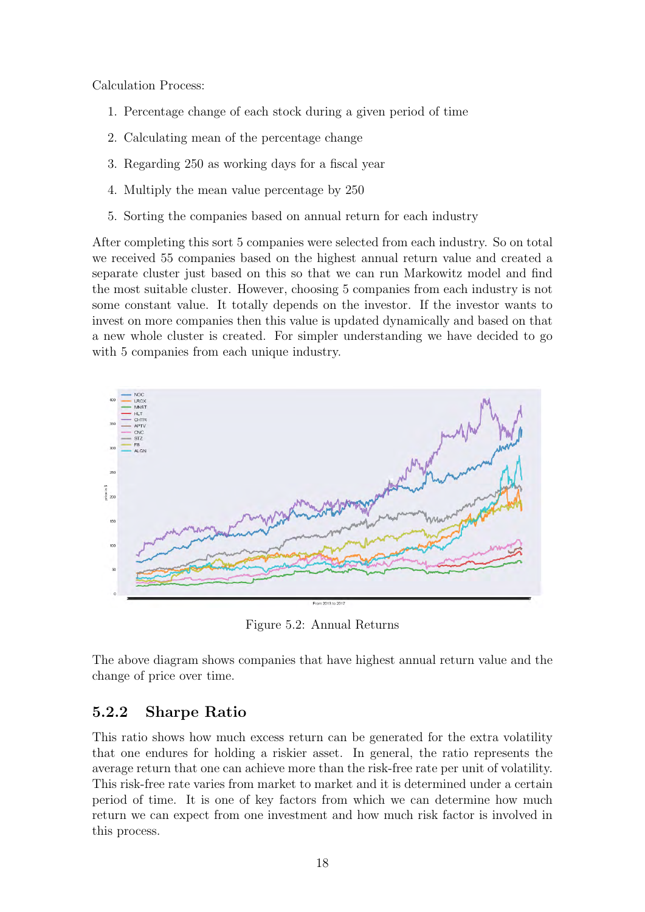Calculation Process:

- 1. Percentage change of each stock during a given period of time
- 2. Calculating mean of the percentage change
- 3. Regarding 250 as working days for a fiscal year
- 4. Multiply the mean value percentage by 250
- 5. Sorting the companies based on annual return for each industry

After completing this sort 5 companies were selected from each industry. So on total we received 55 companies based on the highest annual return value and created a separate cluster just based on this so that we can run Markowitz model and find the most suitable cluster. However, choosing 5 companies from each industry is not some constant value. It totally depends on the investor. If the investor wants to invest on more companies then this value is updated dynamically and based on that a new whole cluster is created. For simpler understanding we have decided to go with 5 companies from each unique industry.

<span id="page-27-1"></span>

Figure 5.2: Annual Returns

The above diagram shows companies that have highest annual return value and the change of price over time.

#### <span id="page-27-0"></span>5.2.2 Sharpe Ratio

This ratio shows how much excess return can be generated for the extra volatility that one endures for holding a riskier asset. In general, the ratio represents the average return that one can achieve more than the risk-free rate per unit of volatility. This risk-free rate varies from market to market and it is determined under a certain period of time. It is one of key factors from which we can determine how much return we can expect from one investment and how much risk factor is involved in this process.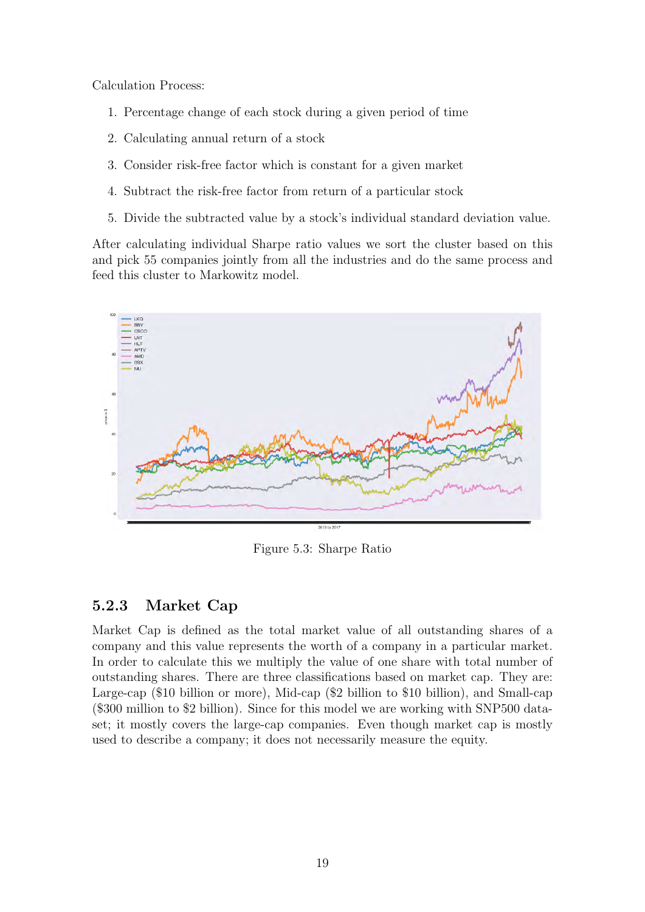Calculation Process:

- 1. Percentage change of each stock during a given period of time
- 2. Calculating annual return of a stock
- 3. Consider risk-free factor which is constant for a given market
- 4. Subtract the risk-free factor from return of a particular stock
- 5. Divide the subtracted value by a stock's individual standard deviation value.

After calculating individual Sharpe ratio values we sort the cluster based on this and pick 55 companies jointly from all the industries and do the same process and feed this cluster to Markowitz model.

<span id="page-28-1"></span>

Figure 5.3: Sharpe Ratio

#### <span id="page-28-0"></span>5.2.3 Market Cap

Market Cap is defined as the total market value of all outstanding shares of a company and this value represents the worth of a company in a particular market. In order to calculate this we multiply the value of one share with total number of outstanding shares. There are three classifications based on market cap. They are: Large-cap (\$10 billion or more), Mid-cap (\$2 billion to \$10 billion), and Small-cap (\$300 million to \$2 billion). Since for this model we are working with SNP500 dataset; it mostly covers the large-cap companies. Even though market cap is mostly used to describe a company; it does not necessarily measure the equity.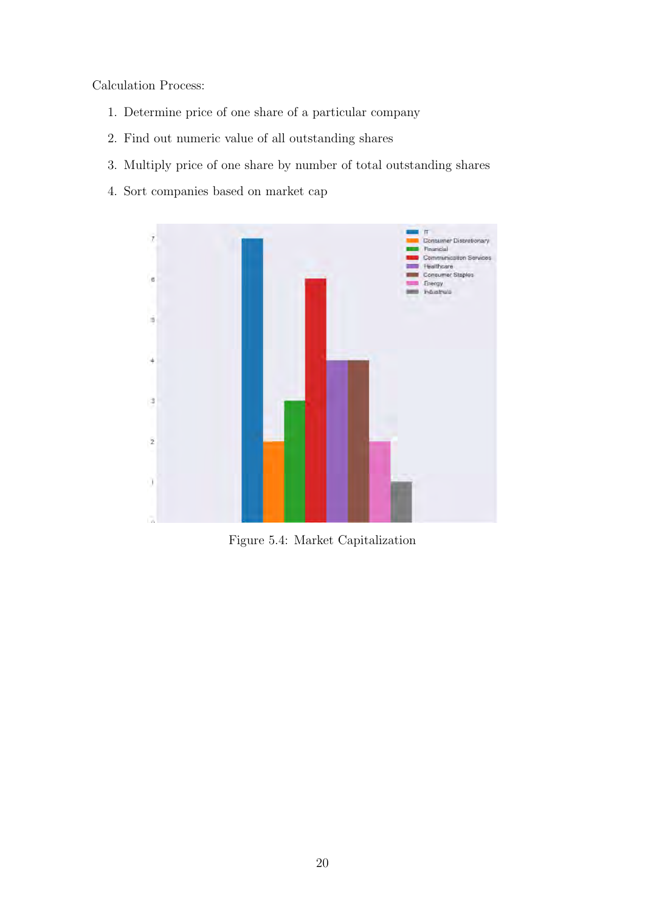Calculation Process:

- 1. Determine price of one share of a particular company
- 2. Find out numeric value of all outstanding shares
- 3. Multiply price of one share by number of total outstanding shares
- <span id="page-29-0"></span>4. Sort companies based on market cap



Figure 5.4: Market Capitalization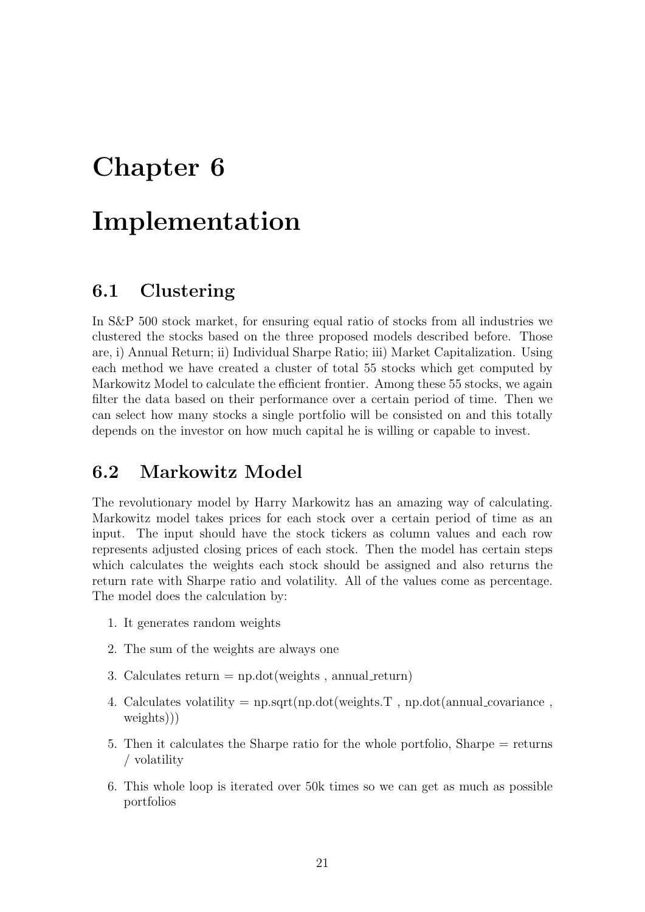# <span id="page-30-0"></span>Implementation

#### <span id="page-30-1"></span>6.1 Clustering

In S&P 500 stock market, for ensuring equal ratio of stocks from all industries we clustered the stocks based on the three proposed models described before. Those are, i) Annual Return; ii) Individual Sharpe Ratio; iii) Market Capitalization. Using each method we have created a cluster of total 55 stocks which get computed by Markowitz Model to calculate the efficient frontier. Among these 55 stocks, we again filter the data based on their performance over a certain period of time. Then we can select how many stocks a single portfolio will be consisted on and this totally depends on the investor on how much capital he is willing or capable to invest.

#### <span id="page-30-2"></span>6.2 Markowitz Model

The revolutionary model by Harry Markowitz has an amazing way of calculating. Markowitz model takes prices for each stock over a certain period of time as an input. The input should have the stock tickers as column values and each row represents adjusted closing prices of each stock. Then the model has certain steps which calculates the weights each stock should be assigned and also returns the return rate with Sharpe ratio and volatility. All of the values come as percentage. The model does the calculation by:

- 1. It generates random weights
- 2. The sum of the weights are always one
- 3. Calculates return  $= np.dot(weights, annual_return)$
- 4. Calculates volatility  $= np.sqrt(np.dot(weights.T, np.dot(annualcovariance,$ weights)))
- 5. Then it calculates the Sharpe ratio for the whole portfolio, Sharpe = returns / volatility
- 6. This whole loop is iterated over 50k times so we can get as much as possible portfolios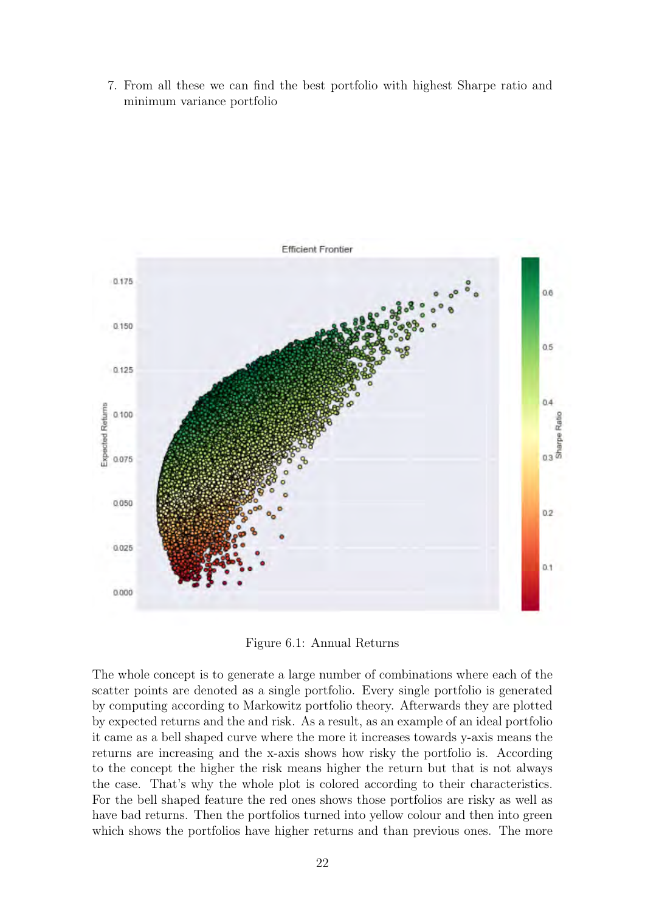7. From all these we can find the best portfolio with highest Sharpe ratio and minimum variance portfolio

<span id="page-31-0"></span>

Figure 6.1: Annual Returns

The whole concept is to generate a large number of combinations where each of the scatter points are denoted as a single portfolio. Every single portfolio is generated by computing according to Markowitz portfolio theory. Afterwards they are plotted by expected returns and the and risk. As a result, as an example of an ideal portfolio it came as a bell shaped curve where the more it increases towards y-axis means the returns are increasing and the x-axis shows how risky the portfolio is. According to the concept the higher the risk means higher the return but that is not always the case. That's why the whole plot is colored according to their characteristics. For the bell shaped feature the red ones shows those portfolios are risky as well as have bad returns. Then the portfolios turned into yellow colour and then into green which shows the portfolios have higher returns and than previous ones. The more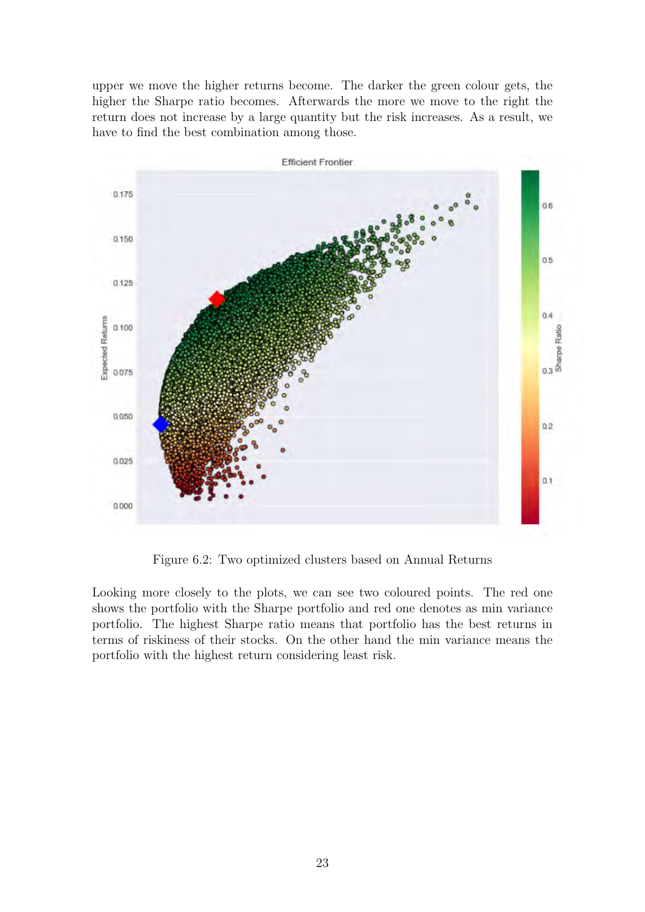upper we move the higher returns become. The darker the green colour gets, the higher the Sharpe ratio becomes. Afterwards the more we move to the right the return does not increase by a large quantity but the risk increases. As a result, we have to find the best combination among those.

<span id="page-32-0"></span>

Figure 6.2: Two optimized clusters based on Annual Returns

Looking more closely to the plots, we can see two coloured points. The red one shows the portfolio with the Sharpe portfolio and red one denotes as min variance portfolio. The highest Sharpe ratio means that portfolio has the best returns in terms of riskiness of their stocks. On the other hand the min variance means the portfolio with the highest return considering least risk.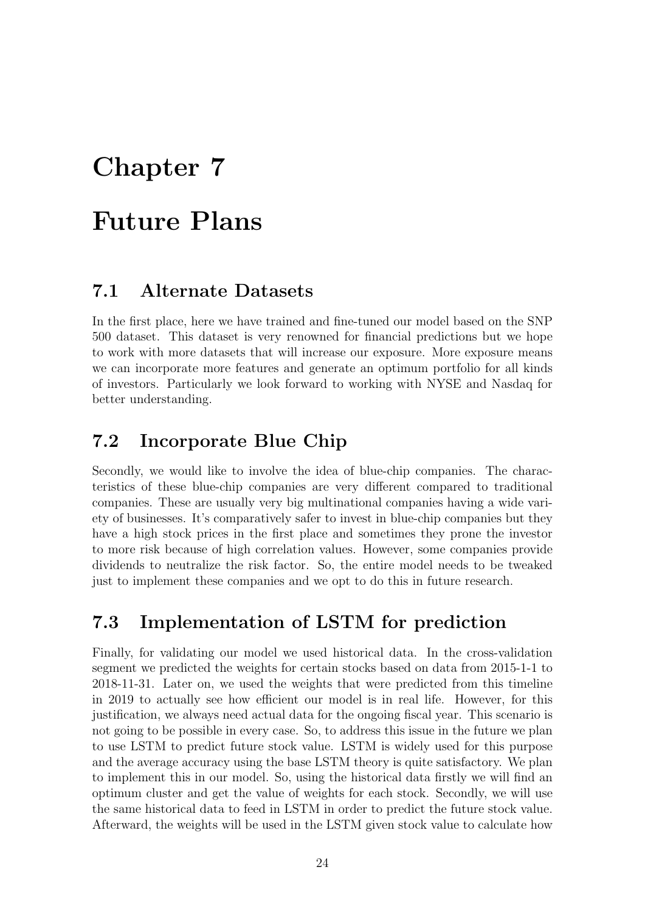# <span id="page-33-0"></span>Future Plans

#### <span id="page-33-1"></span>7.1 Alternate Datasets

In the first place, here we have trained and fine-tuned our model based on the SNP 500 dataset. This dataset is very renowned for financial predictions but we hope to work with more datasets that will increase our exposure. More exposure means we can incorporate more features and generate an optimum portfolio for all kinds of investors. Particularly we look forward to working with NYSE and Nasdaq for better understanding.

### <span id="page-33-2"></span>7.2 Incorporate Blue Chip

Secondly, we would like to involve the idea of blue-chip companies. The characteristics of these blue-chip companies are very different compared to traditional companies. These are usually very big multinational companies having a wide variety of businesses. It's comparatively safer to invest in blue-chip companies but they have a high stock prices in the first place and sometimes they prone the investor to more risk because of high correlation values. However, some companies provide dividends to neutralize the risk factor. So, the entire model needs to be tweaked just to implement these companies and we opt to do this in future research.

### <span id="page-33-3"></span>7.3 Implementation of LSTM for prediction

Finally, for validating our model we used historical data. In the cross-validation segment we predicted the weights for certain stocks based on data from 2015-1-1 to 2018-11-31. Later on, we used the weights that were predicted from this timeline in 2019 to actually see how efficient our model is in real life. However, for this justification, we always need actual data for the ongoing fiscal year. This scenario is not going to be possible in every case. So, to address this issue in the future we plan to use LSTM to predict future stock value. LSTM is widely used for this purpose and the average accuracy using the base LSTM theory is quite satisfactory. We plan to implement this in our model. So, using the historical data firstly we will find an optimum cluster and get the value of weights for each stock. Secondly, we will use the same historical data to feed in LSTM in order to predict the future stock value. Afterward, the weights will be used in the LSTM given stock value to calculate how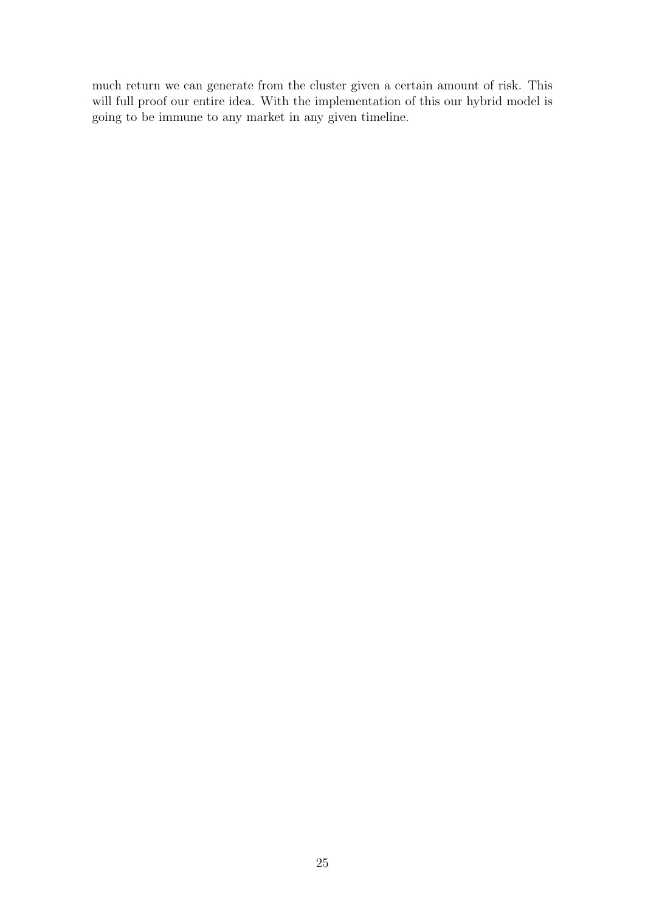much return we can generate from the cluster given a certain amount of risk. This will full proof our entire idea. With the implementation of this our hybrid model is going to be immune to any market in any given timeline.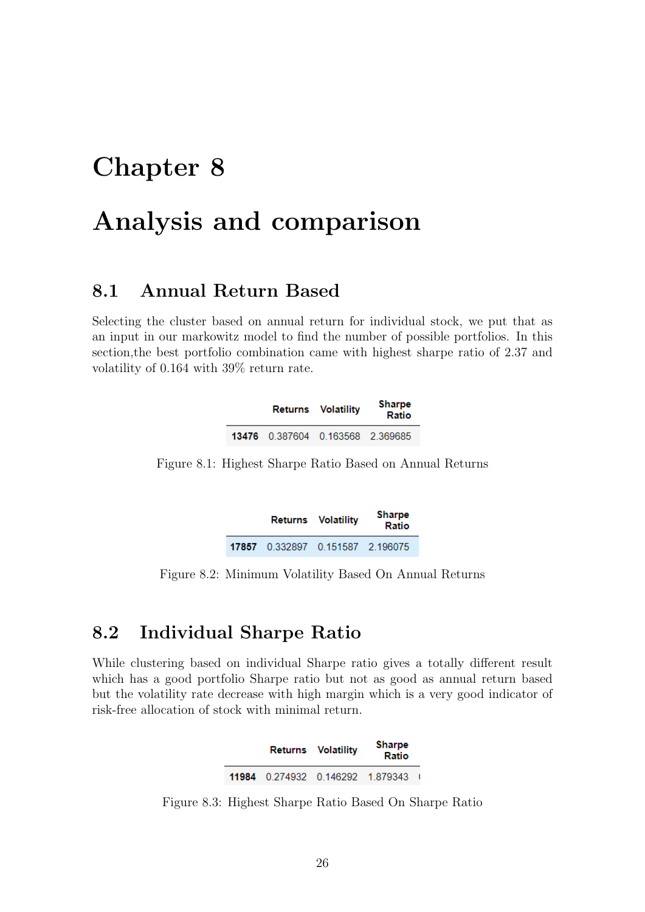# <span id="page-35-0"></span>Analysis and comparison

#### <span id="page-35-1"></span>8.1 Annual Return Based

<span id="page-35-3"></span>Selecting the cluster based on annual return for individual stock, we put that as an input in our markowitz model to find the number of possible portfolios. In this section,the best portfolio combination came with highest sharpe ratio of 2.37 and volatility of 0.164 with 39% return rate.

|                                  | Returns Volatility | <b>Sharpe</b><br>Ratio |
|----------------------------------|--------------------|------------------------|
| 13476 0.387604 0.163568 2.369685 |                    |                        |

<span id="page-35-4"></span>Figure 8.1: Highest Sharpe Ratio Based on Annual Returns

|                                     | Returns Volatility | Sharpe<br>Ratio |
|-------------------------------------|--------------------|-----------------|
| 17857  0.332897  0.151587  2.196075 |                    |                 |

Figure 8.2: Minimum Volatility Based On Annual Returns

### <span id="page-35-2"></span>8.2 Individual Sharpe Ratio

<span id="page-35-5"></span>While clustering based on individual Sharpe ratio gives a totally different result which has a good portfolio Sharpe ratio but not as good as annual return based but the volatility rate decrease with high margin which is a very good indicator of risk-free allocation of stock with minimal return.

|                                     | Returns Volatility | <b>Sharpe</b><br>Ratio |  |
|-------------------------------------|--------------------|------------------------|--|
| 11984  0.274932  0.146292  1.879343 |                    |                        |  |

Figure 8.3: Highest Sharpe Ratio Based On Sharpe Ratio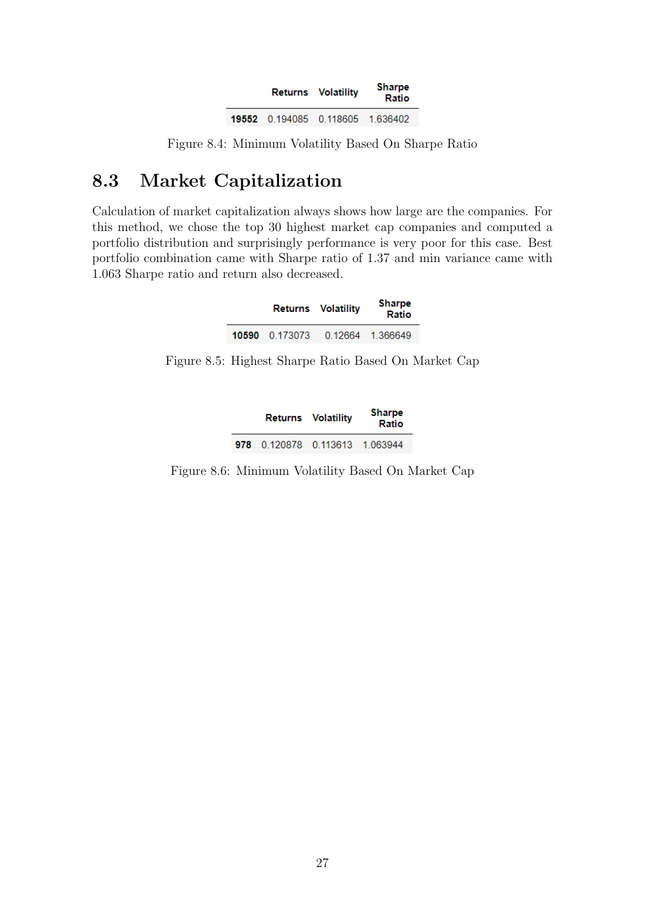|                                  | Returns Volatility | Sharpe<br>Ratio |
|----------------------------------|--------------------|-----------------|
| 19552 0.194085 0.118605 1.636402 |                    |                 |

<span id="page-36-1"></span>Figure 8.4: Minimum Volatility Based On Sharpe Ratio

### <span id="page-36-0"></span>8.3 Market Capitalization

<span id="page-36-2"></span>Calculation of market capitalization always shows how large are the companies. For this method, we chose the top 30 highest market cap companies and computed a portfolio distribution and surprisingly performance is very poor for this case. Best portfolio combination came with Sharpe ratio of 1.37 and min variance came with 1.063 Sharpe ratio and return also decreased.

|                | Returns Volatility | <b>Sharpe</b><br>Ratio |
|----------------|--------------------|------------------------|
| 10590 0.173073 |                    | 0.12664 1.366649       |

<span id="page-36-3"></span>Figure 8.5: Highest Sharpe Ratio Based On Market Cap

|                                | Returns Volatility | <b>Sharpe</b><br>Ratio |
|--------------------------------|--------------------|------------------------|
| 978 0.120878 0.113613 1.063944 |                    |                        |

Figure 8.6: Minimum Volatility Based On Market Cap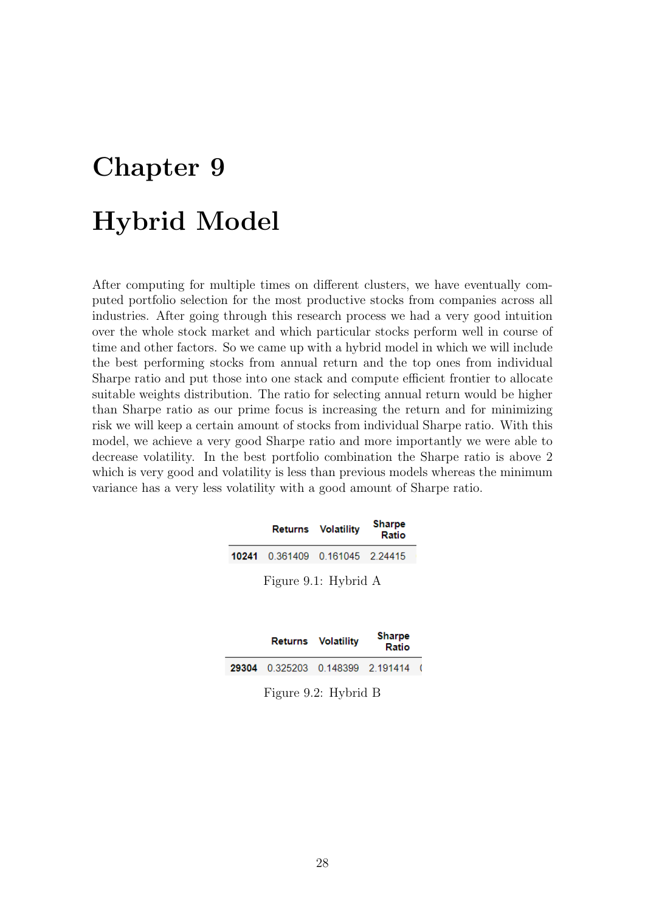# <span id="page-37-0"></span>Chapter 9 Hybrid Model

After computing for multiple times on different clusters, we have eventually computed portfolio selection for the most productive stocks from companies across all industries. After going through this research process we had a very good intuition over the whole stock market and which particular stocks perform well in course of time and other factors. So we came up with a hybrid model in which we will include the best performing stocks from annual return and the top ones from individual Sharpe ratio and put those into one stack and compute efficient frontier to allocate suitable weights distribution. The ratio for selecting annual return would be higher than Sharpe ratio as our prime focus is increasing the return and for minimizing risk we will keep a certain amount of stocks from individual Sharpe ratio. With this model, we achieve a very good Sharpe ratio and more importantly we were able to decrease volatility. In the best portfolio combination the Sharpe ratio is above 2 which is very good and volatility is less than previous models whereas the minimum variance has a very less volatility with a good amount of Sharpe ratio.

<span id="page-37-1"></span>

|                                 | <b>Returns Volatility</b> | <b>Sharpe</b><br>Ratio |  |  |
|---------------------------------|---------------------------|------------------------|--|--|
| 10241 0.361409 0.161045 2.24415 |                           |                        |  |  |
| Figure 9.1: Hybrid A            |                           |                        |  |  |

<span id="page-37-2"></span>

|                                     | <b>Returns Volatility</b> | <b>Sharpe</b><br>Ratio |     |  |  |  |
|-------------------------------------|---------------------------|------------------------|-----|--|--|--|
| 29304  0.325203  0.148399  2.191414 |                           |                        | - 1 |  |  |  |
|                                     |                           |                        |     |  |  |  |

Figure 9.2: Hybrid B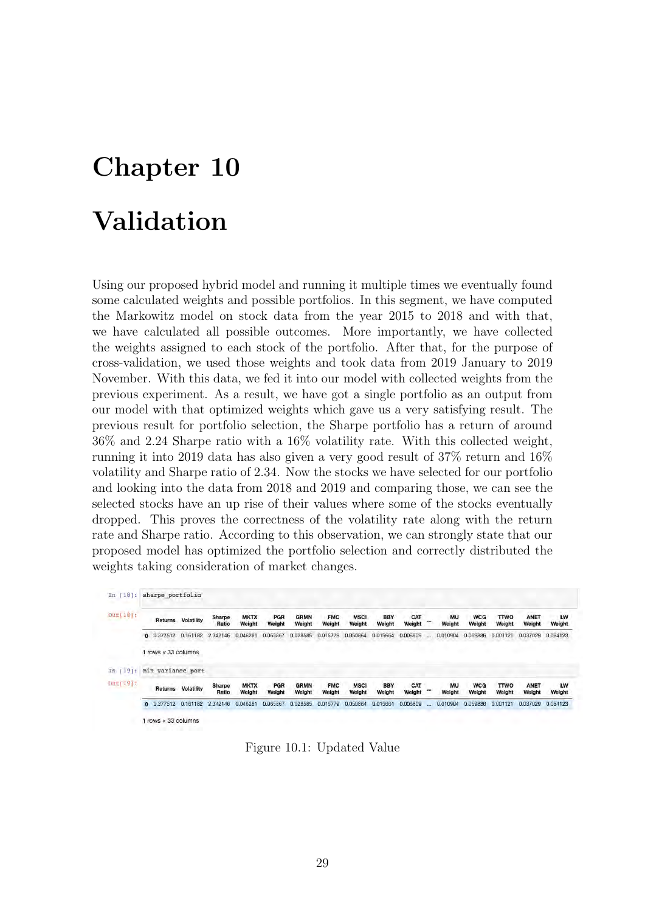# <span id="page-38-0"></span>Validation

Using our proposed hybrid model and running it multiple times we eventually found some calculated weights and possible portfolios. In this segment, we have computed the Markowitz model on stock data from the year 2015 to 2018 and with that, we have calculated all possible outcomes. More importantly, we have collected the weights assigned to each stock of the portfolio. After that, for the purpose of cross-validation, we used those weights and took data from 2019 January to 2019 November. With this data, we fed it into our model with collected weights from the previous experiment. As a result, we have got a single portfolio as an output from our model with that optimized weights which gave us a very satisfying result. The previous result for portfolio selection, the Sharpe portfolio has a return of around 36% and 2.24 Sharpe ratio with a 16% volatility rate. With this collected weight, running it into 2019 data has also given a very good result of 37% return and 16% volatility and Sharpe ratio of 2.34. Now the stocks we have selected for our portfolio and looking into the data from 2018 and 2019 and comparing those, we can see the selected stocks have an up rise of their values where some of the stocks eventually dropped. This proves the correctness of the volatility rate along with the return rate and Sharpe ratio. According to this observation, we can strongly state that our proposed model has optimized the portfolio selection and correctly distributed the weights taking consideration of market changes.

<span id="page-38-1"></span>

| Outil8i:     | Returns                  | Volatility        | Sharpe<br>Ratio | <b>MKTX</b><br>Weight | PGR<br>Weight | <b>GRMN</b><br>Weight | <b>FMC</b><br>Weight | <b>MSCI</b><br>Weight | <b>BBY</b><br>Weight | CAT<br>Weight |              | MU<br>Weight | <b>WCG</b><br>Weight | <b>TTWO</b><br>Weight | ANET<br>Weight        | LW<br>Weight |
|--------------|--------------------------|-------------------|-----------------|-----------------------|---------------|-----------------------|----------------------|-----------------------|----------------------|---------------|--------------|--------------|----------------------|-----------------------|-----------------------|--------------|
|              | 0 0.377512 0.161182      |                   | 2,342146        | 0.046281              | 0.065867      | 0.028585              | 0.015779             | 0.050864              | 0.015664             | 0.006809      | $\mathbf{a}$ | 0.010904     | 0.069886             | 0.001121              | 0.037029              | 0.084123     |
|              | $rows \times 33$ columns |                   |                 |                       |               |                       |                      |                       |                      |               |              |              |                      |                       |                       |              |
| 191:         | min variance port        |                   |                 |                       |               |                       |                      |                       |                      |               |              |              |                      |                       |                       |              |
| $[0n][19]$ : | Returns                  | <b>Volatility</b> | Sharpe<br>Ratio | <b>MKTX</b><br>Weight | PGR<br>Weight | <b>GRMN</b><br>Weight | <b>FMC</b><br>Weight | <b>MSCI</b><br>Weight | <b>BBY</b><br>Weight | CAT<br>Weight |              | MU<br>Weight | <b>WCG</b><br>Weight | <b>TTWO</b><br>Weight | <b>ANET</b><br>Weight | LW<br>Weight |
|              | 0 0.377512               | 0.161182          | 2.342146        | 0.046281              | 0.065867      | 0.028585              | 0.015779             | 0.050864              | 0.015664             | 0.006809      | 121          | 0.010904     | 0.069886             | 0.001121              | 0.037029              | 0.084123     |

Figure 10.1: Updated Value